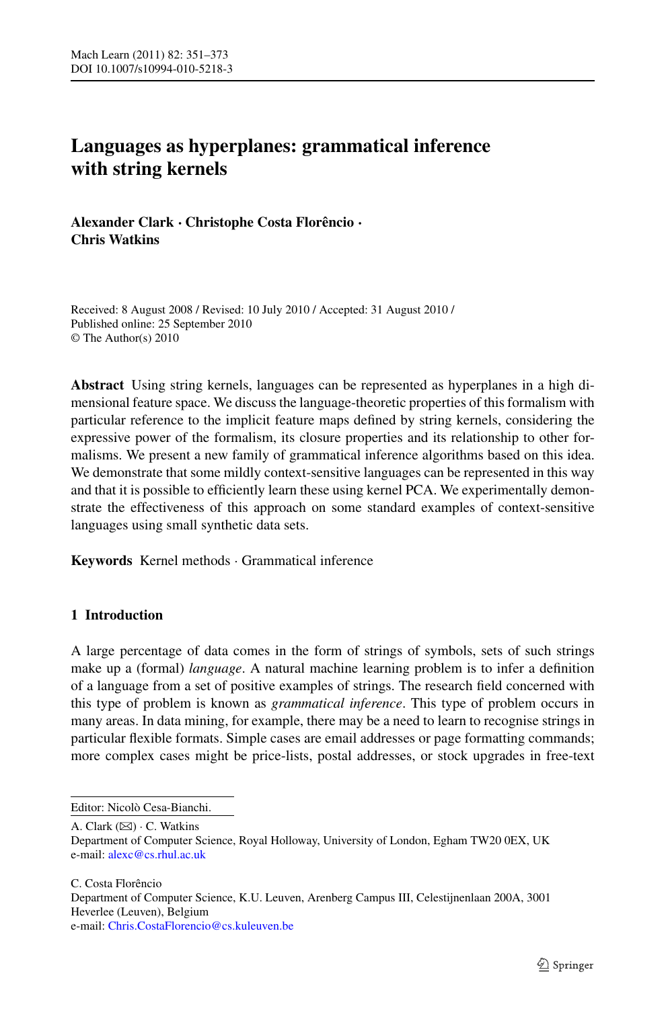# **Languages as hyperplanes: grammatical inference with string kernels**

**Alexander Clark · Christophe Costa Florêncio · Chris Watkins**

Received: 8 August 2008 / Revised: 10 July 2010 / Accepted: 31 August 2010 / Published online: 25 September 2010 © The Author(s) 2010

**Abstract** Using string kernels, languages can be represented as hyperplanes in a high dimensional feature space. We discuss the language-theoretic properties of this formalism with particular reference to the implicit feature maps defined by string kernels, considering the expressive power of the formalism, its closure properties and its relationship to other formalisms. We present a new family of grammatical inference algorithms based on this idea. We demonstrate that some mildly context-sensitive languages can be represented in this way and that it is possible to efficiently learn these using kernel PCA. We experimentally demonstrate the effectiveness of this approach on some standard examples of context-sensitive languages using small synthetic data sets.

**Keywords** Kernel methods · Grammatical inference

## **1 Introduction**

A large percentage of data comes in the form of strings of symbols, sets of such strings make up a (formal) *language*. A natural machine learning problem is to infer a definition of a language from a set of positive examples of strings. The research field concerned with this type of problem is known as *grammatical inference*. This type of problem occurs in many areas. In data mining, for example, there may be a need to learn to recognise strings in particular flexible formats. Simple cases are email addresses or page formatting commands; more complex cases might be price-lists, postal addresses, or stock upgrades in free-text

A. Clark  $(\boxtimes) \cdot$  C. Watkins

C. Costa Florêncio Department of Computer Science, K.U. Leuven, Arenberg Campus III, Celestijnenlaan 200A, 3001 Heverlee (Leuven), Belgium e-mail: [Chris.CostaFlorencio@cs.kuleuven.be](mailto:Chris.CostaFlorencio@cs.kuleuven.be)

Editor: Nicolò Cesa-Bianchi.

Department of Computer Science, Royal Holloway, University of London, Egham TW20 0EX, UK e-mail: [alexc@cs.rhul.ac.uk](mailto:alexc@cs.rhul.ac.uk)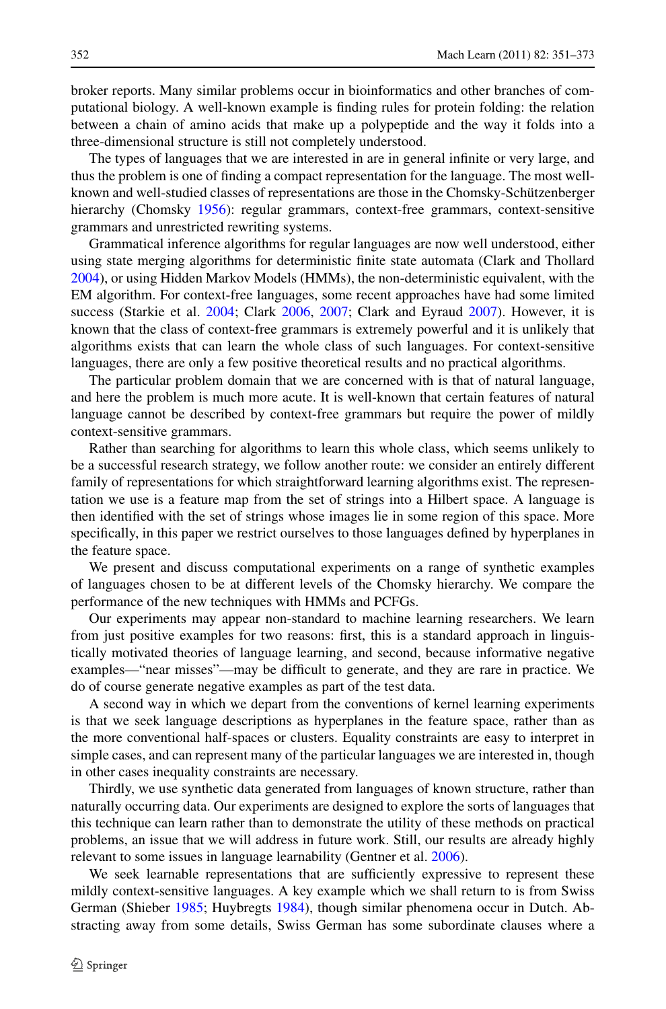broker reports. Many similar problems occur in bioinformatics and other branches of computational biology. A well-known example is finding rules for protein folding: the relation between a chain of amino acids that make up a polypeptide and the way it folds into a three-dimensional structure is still not completely understood.

The types of languages that we are interested in are in general infinite or very large, and thus the problem is one of finding a compact representation for the language. The most wellknown and well-studied classes of representations are those in the Chomsky-Schützenberger hierarchy (Chomsky [1956](#page-21-0)): regular grammars, context-free grammars, context-sensitive grammars and unrestricted rewriting systems.

Grammatical inference algorithms for regular languages are now well understood, either using state merging algorithms for deterministic finite state automata (Clark and Thollard [2004\)](#page-21-1), or using Hidden Markov Models (HMMs), the non-deterministic equivalent, with the EM algorithm. For context-free languages, some recent approaches have had some limited success (Starkie et al. [2004;](#page-22-0) Clark [2006,](#page-21-2) [2007;](#page-21-3) Clark and Eyraud [2007](#page-21-4)). However, it is known that the class of context-free grammars is extremely powerful and it is unlikely that algorithms exists that can learn the whole class of such languages. For context-sensitive languages, there are only a few positive theoretical results and no practical algorithms.

The particular problem domain that we are concerned with is that of natural language, and here the problem is much more acute. It is well-known that certain features of natural language cannot be described by context-free grammars but require the power of mildly context-sensitive grammars.

Rather than searching for algorithms to learn this whole class, which seems unlikely to be a successful research strategy, we follow another route: we consider an entirely different family of representations for which straightforward learning algorithms exist. The representation we use is a feature map from the set of strings into a Hilbert space. A language is then identified with the set of strings whose images lie in some region of this space. More specifically, in this paper we restrict ourselves to those languages defined by hyperplanes in the feature space.

We present and discuss computational experiments on a range of synthetic examples of languages chosen to be at different levels of the Chomsky hierarchy. We compare the performance of the new techniques with HMMs and PCFGs.

Our experiments may appear non-standard to machine learning researchers. We learn from just positive examples for two reasons: first, this is a standard approach in linguistically motivated theories of language learning, and second, because informative negative examples—"near misses"—may be difficult to generate, and they are rare in practice. We do of course generate negative examples as part of the test data.

A second way in which we depart from the conventions of kernel learning experiments is that we seek language descriptions as hyperplanes in the feature space, rather than as the more conventional half-spaces or clusters. Equality constraints are easy to interpret in simple cases, and can represent many of the particular languages we are interested in, though in other cases inequality constraints are necessary.

Thirdly, we use synthetic data generated from languages of known structure, rather than naturally occurring data. Our experiments are designed to explore the sorts of languages that this technique can learn rather than to demonstrate the utility of these methods on practical problems, an issue that we will address in future work. Still, our results are already highly relevant to some issues in language learnability (Gentner et al. [2006\)](#page-21-5).

We seek learnable representations that are sufficiently expressive to represent these mildly context-sensitive languages. A key example which we shall return to is from Swiss German (Shieber [1985](#page-22-1); Huybregts [1984](#page-21-6)), though similar phenomena occur in Dutch. Abstracting away from some details, Swiss German has some subordinate clauses where a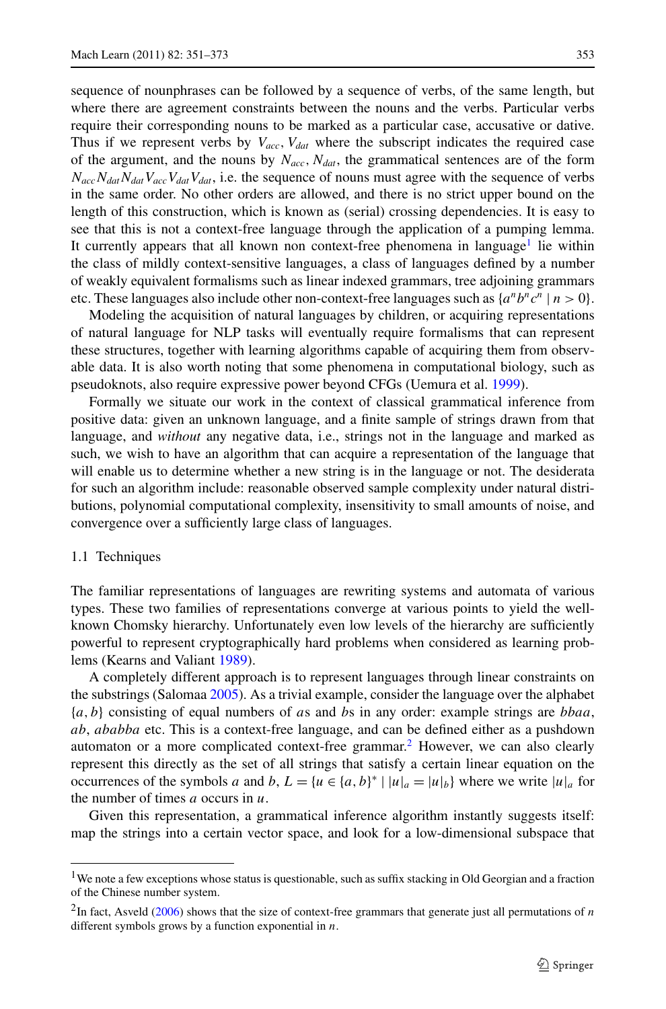sequence of nounphrases can be followed by a sequence of verbs, of the same length, but where there are agreement constraints between the nouns and the verbs. Particular verbs require their corresponding nouns to be marked as a particular case, accusative or dative. Thus if we represent verbs by  $V_{acc}$ ,  $V_{dat}$  where the subscript indicates the required case of the argument, and the nouns by  $N_{acc}$ ,  $N_{dat}$ , the grammatical sentences are of the form  $N_{acc}N_{dat}N_{dat}V_{acc}V_{dat}$ , i.e. the sequence of nouns must agree with the sequence of verbs in the same order. No other orders are allowed, and there is no strict upper bound on the length of this construction, which is known as (serial) crossing dependencies. It is easy to see that this is not a context-free language through the application of a pumping lemma. It currently appears that all known non context-free phenomena in language<sup>[1](#page-2-0)</sup> lie within the class of mildly context-sensitive languages, a class of languages defined by a number of weakly equivalent formalisms such as linear indexed grammars, tree adjoining grammars etc. These languages also include other non-context-free languages such as  $\{a^n b^n c^n \mid n > 0\}$ .

Modeling the acquisition of natural languages by children, or acquiring representations of natural language for NLP tasks will eventually require formalisms that can represent these structures, together with learning algorithms capable of acquiring them from observable data. It is also worth noting that some phenomena in computational biology, such as pseudoknots, also require expressive power beyond CFGs (Uemura et al. [1999](#page-22-2)).

Formally we situate our work in the context of classical grammatical inference from positive data: given an unknown language, and a finite sample of strings drawn from that language, and *without* any negative data, i.e., strings not in the language and marked as such, we wish to have an algorithm that can acquire a representation of the language that will enable us to determine whether a new string is in the language or not. The desiderata for such an algorithm include: reasonable observed sample complexity under natural distributions, polynomial computational complexity, insensitivity to small amounts of noise, and convergence over a sufficiently large class of languages.

#### 1.1 Techniques

The familiar representations of languages are rewriting systems and automata of various types. These two families of representations converge at various points to yield the wellknown Chomsky hierarchy. Unfortunately even low levels of the hierarchy are sufficiently powerful to represent cryptographically hard problems when considered as learning problems (Kearns and Valiant [1989](#page-21-7)).

<span id="page-2-0"></span>A completely different approach is to represent languages through linear constraints on the substrings (Salomaa [2005\)](#page-22-3). As a trivial example, consider the language over the alphabet {*a,b*} consisting of equal numbers of *a*s and *b*s in any order: example strings are *bbaa*, *ab*, *ababba* etc. This is a context-free language, and can be defined either as a pushdown automaton or a more complicated context-free grammar.<sup>[2](#page-2-1)</sup> However, we can also clearly represent this directly as the set of all strings that satisfy a certain linear equation on the occurrences of the symbols *a* and *b*,  $L = \{u \in \{a, b\}^*\mid |u|_a = |u|_b\}$  where we write  $|u|_a$  for the number of times *a* occurs in *u*.

<span id="page-2-1"></span>Given this representation, a grammatical inference algorithm instantly suggests itself: map the strings into a certain vector space, and look for a low-dimensional subspace that

<sup>&</sup>lt;sup>1</sup>We note a few exceptions whose status is questionable, such as suffix stacking in Old Georgian and a fraction of the Chinese number system.

<sup>2</sup>In fact, Asveld ([2006\)](#page-20-0) shows that the size of context-free grammars that generate just all permutations of *n* different symbols grows by a function exponential in *n*.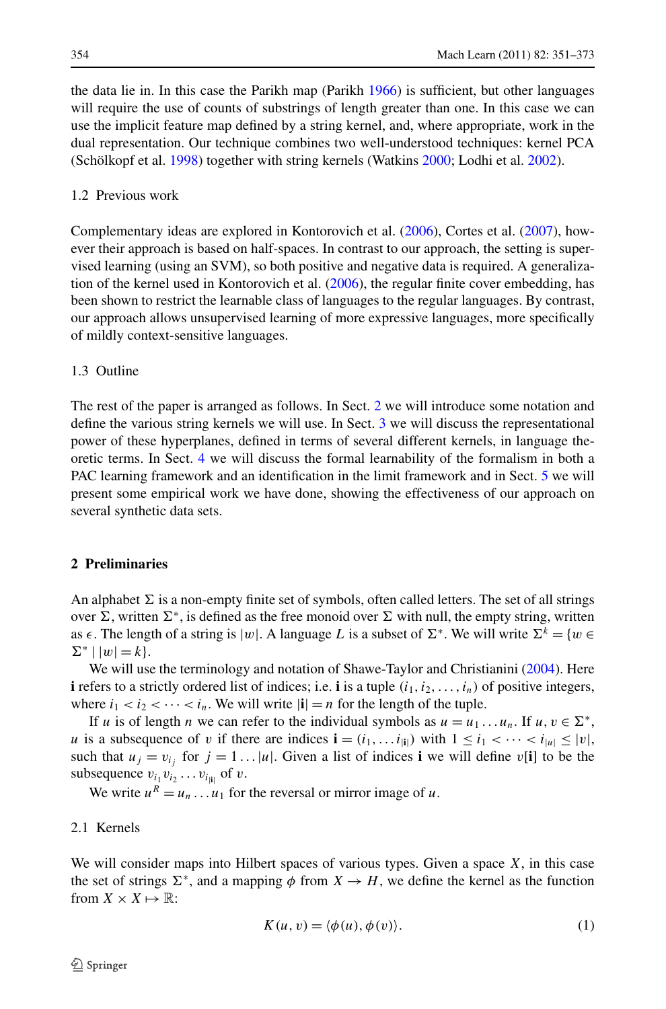the data lie in. In this case the Parikh map (Parikh [1966](#page-21-8)) is sufficient, but other languages will require the use of counts of substrings of length greater than one. In this case we can use the implicit feature map defined by a string kernel, and, where appropriate, work in the dual representation. Our technique combines two well-understood techniques: kernel PCA (Schölkopf et al. [1998\)](#page-22-4) together with string kernels (Watkins [2000;](#page-22-5) Lodhi et al. [2002](#page-21-9)).

1.2 Previous work

Complementary ideas are explored in Kontorovich et al. [\(2006](#page-21-10)), Cortes et al. [\(2007](#page-21-11)), however their approach is based on half-spaces. In contrast to our approach, the setting is supervised learning (using an SVM), so both positive and negative data is required. A generalization of the kernel used in Kontorovich et al. ([2006\)](#page-21-10), the regular finite cover embedding, has been shown to restrict the learnable class of languages to the regular languages. By contrast, our approach allows unsupervised learning of more expressive languages, more specifically of mildly context-sensitive languages.

### 1.3 Outline

<span id="page-3-0"></span>The rest of the paper is arranged as follows. In Sect. [2](#page-3-0) we will introduce some notation and define the various string kernels we will use. In Sect. [3](#page-4-0) we will discuss the representational power of these hyperplanes, defined in terms of several different kernels, in language theoretic terms. In Sect. [4](#page-9-0) we will discuss the formal learnability of the formalism in both a PAC learning framework and an identification in the limit framework and in Sect. [5](#page-14-0) we will present some empirical work we have done, showing the effectiveness of our approach on several synthetic data sets.

### **2 Preliminaries**

An alphabet  $\Sigma$  is a non-empty finite set of symbols, often called letters. The set of all strings over  $\Sigma$ , written  $\Sigma^*$ , is defined as the free monoid over  $\Sigma$  with null, the empty string, written as  $\epsilon$ . The length of a string is  $|w|$ . A language *L* is a subset of  $\Sigma^*$ . We will write  $\Sigma^k = \{w \in \Sigma^k | w| \leq k \}$  $\Sigma^* | |w| = k$ .

We will use the terminology and notation of Shawe-Taylor and Christianini [\(2004](#page-22-6)). Here **i** refers to a strictly ordered list of indices; i.e. **i** is a tuple  $(i_1, i_2, \ldots, i_n)$  of positive integers, where  $i_1 < i_2 < \cdots < i_n$ . We will write  $|\mathbf{i}| = n$  for the length of the tuple.

If *u* is of length *n* we can refer to the individual symbols as  $u = u_1 \dots u_n$ . If  $u, v \in \Sigma^*$ , *u* is a subsequence of *v* if there are indices  $\mathbf{i} = (i_1, \dots, i_{|\mathbf{i}|})$  with  $1 \leq i_1 < \dots < i_{|\mathbf{i}|} \leq |\mathbf{v}|$ , such that  $u_j = v_{i_j}$  for  $j = 1...|u|$ . Given a list of indices **i** we will define  $v[i]$  to be the subsequence  $v_{i_1}v_{i_2} \ldots v_{i_{\text{hi}}}$  of  $v$ .

We write  $u^R = u_n \dots u_1$  for the reversal or mirror image of *u*.

### 2.1 Kernels

We will consider maps into Hilbert spaces of various types. Given a space *X*, in this case the set of strings  $\Sigma^*$ , and a mapping  $\phi$  from  $X \to H$ , we define the kernel as the function from  $X \times X \mapsto \mathbb{R}$ :

$$
K(u, v) = \langle \phi(u), \phi(v) \rangle.
$$
 (1)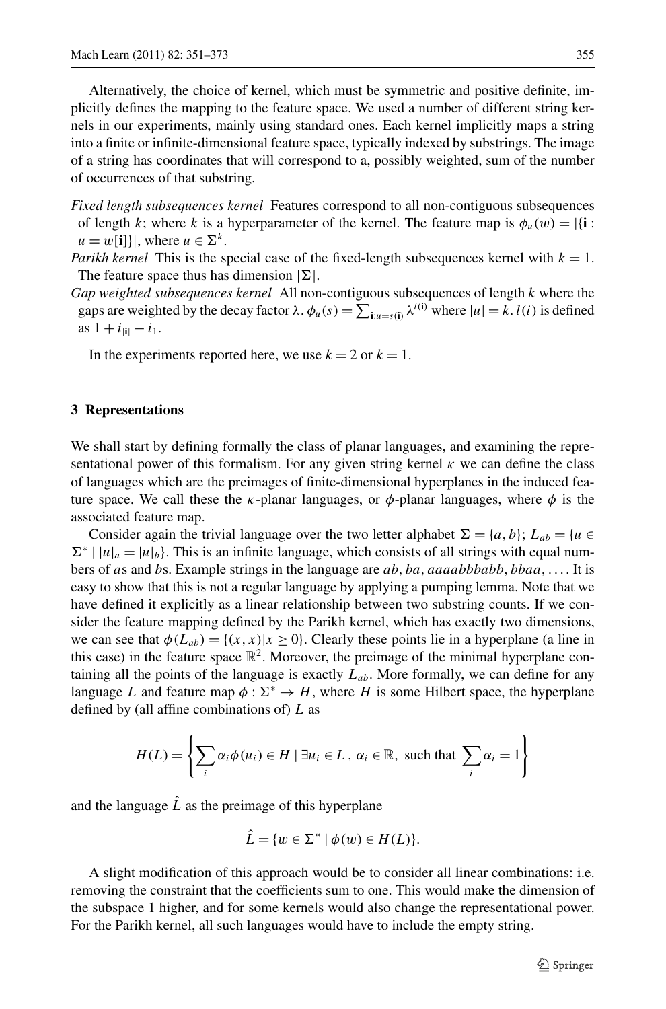Alternatively, the choice of kernel, which must be symmetric and positive definite, implicitly defines the mapping to the feature space. We used a number of different string kernels in our experiments, mainly using standard ones. Each kernel implicitly maps a string into a finite or infinite-dimensional feature space, typically indexed by substrings. The image of a string has coordinates that will correspond to a, possibly weighted, sum of the number of occurrences of that substring.

*Fixed length subsequences kernel* Features correspond to all non-contiguous subsequences of length *k*; where *k* is a hyperparameter of the kernel. The feature map is  $\phi_u(w) = |\{\mathbf{i} :$  $u = w[i]$ , where  $u \in \Sigma^k$ .

*Parikh kernel* This is the special case of the fixed-length subsequences kernel with  $k = 1$ . The feature space thus has dimension  $|\Sigma|$ .

<span id="page-4-0"></span>*Gap weighted subsequences kernel* All non-contiguous subsequences of length *k* where the gaps are weighted by the decay factor  $\lambda$ .  $\phi_u(s) = \sum_{i:u=s(i)} \lambda^{l(i)}$  where  $|u| = k$ . *l(i)* is defined as  $1 + i_{|\mathbf{i}|} - i_1$ .

In the experiments reported here, we use  $k = 2$  or  $k = 1$ .

### **3 Representations**

We shall start by defining formally the class of planar languages, and examining the representational power of this formalism. For any given string kernel  $\kappa$  we can define the class of languages which are the preimages of finite-dimensional hyperplanes in the induced feature space. We call these the  $\kappa$ -planar languages, or  $\phi$ -planar languages, where  $\phi$  is the associated feature map.

Consider again the trivial language over the two letter alphabet  $\Sigma = \{a, b\}$ ;  $L_{ab} = \{u \in$  $\Sigma^*$  | |*u*|<sub>*a*</sub> = |*u*|<sub>*b*</sub>}. This is an infinite language, which consists of all strings with equal numbers of *a*s and *bs*. Example strings in the language are *ab*, *ba*, *aaaabbbabb*, *bbaa*,.... It is easy to show that this is not a regular language by applying a pumping lemma. Note that we have defined it explicitly as a linear relationship between two substring counts. If we consider the feature mapping defined by the Parikh kernel, which has exactly two dimensions, we can see that  $\phi(L_{ab}) = \{(x, x) | x \ge 0\}$ . Clearly these points lie in a hyperplane (a line in this case) in the feature space  $\mathbb{R}^2$ . Moreover, the preimage of the minimal hyperplane containing all the points of the language is exactly  $L_{ab}$ . More formally, we can define for any language *L* and feature map  $\phi : \Sigma^* \to H$ , where *H* is some Hilbert space, the hyperplane defined by (all affine combinations of) *L* as

$$
H(L) = \left\{ \sum_{i} \alpha_{i} \phi(u_{i}) \in H \mid \exists u_{i} \in L, \alpha_{i} \in \mathbb{R}, \text{ such that } \sum_{i} \alpha_{i} = 1 \right\}
$$

and the language  $\hat{L}$  as the preimage of this hyperplane

$$
\hat{L} = \{ w \in \Sigma^* \mid \phi(w) \in H(L) \}.
$$

A slight modification of this approach would be to consider all linear combinations: i.e. removing the constraint that the coefficients sum to one. This would make the dimension of the subspace 1 higher, and for some kernels would also change the representational power. For the Parikh kernel, all such languages would have to include the empty string.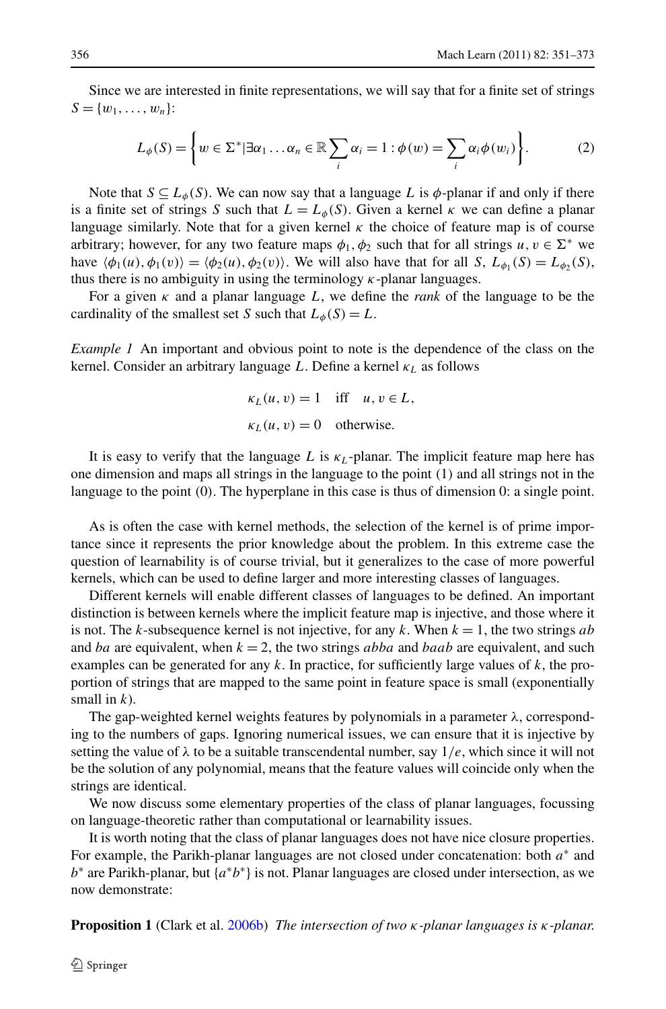Since we are interested in finite representations, we will say that for a finite set of strings  $S = \{w_1, \ldots, w_n\}$ :

$$
L_{\phi}(S) = \left\{ w \in \Sigma^* | \exists \alpha_1 \dots \alpha_n \in \mathbb{R} \sum_i \alpha_i = 1 : \phi(w) = \sum_i \alpha_i \phi(w_i) \right\}.
$$
 (2)

Note that  $S \subseteq L_{\phi}(S)$ . We can now say that a language L is  $\phi$ -planar if and only if there is a finite set of strings *S* such that  $L = L_{\phi}(S)$ . Given a kernel  $\kappa$  we can define a planar language similarly. Note that for a given kernel  $\kappa$  the choice of feature map is of course arbitrary; however, for any two feature maps  $\phi_1, \phi_2$  such that for all strings  $u, v \in \Sigma^*$  we have  $\langle \phi_1(u), \phi_1(v) \rangle = \langle \phi_2(u), \phi_2(v) \rangle$ . We will also have that for all *S*,  $L_{\phi_1}(S) = L_{\phi_2}(S)$ , thus there is no ambiguity in using the terminology  $\kappa$ -planar languages.

For a given *κ* and a planar language *L*, we define the *rank* of the language to be the cardinality of the smallest set *S* such that  $L_{\phi}(S) = L$ .

*Example 1* An important and obvious point to note is the dependence of the class on the kernel. Consider an arbitrary language *L*. Define a kernel *κL* as follows

$$
\kappa_L(u, v) = 1
$$
 iff  $u, v \in L$ ,  
 $\kappa_L(u, v) = 0$  otherwise.

It is easy to verify that the language *L* is  $\kappa_L$ -planar. The implicit feature map here has one dimension and maps all strings in the language to the point *(*1*)* and all strings not in the language to the point *(*0*)*. The hyperplane in this case is thus of dimension 0: a single point.

As is often the case with kernel methods, the selection of the kernel is of prime importance since it represents the prior knowledge about the problem. In this extreme case the question of learnability is of course trivial, but it generalizes to the case of more powerful kernels, which can be used to define larger and more interesting classes of languages.

Different kernels will enable different classes of languages to be defined. An important distinction is between kernels where the implicit feature map is injective, and those where it is not. The *k*-subsequence kernel is not injective, for any *k*. When  $k = 1$ , the two strings *ab* and *ba* are equivalent, when  $k = 2$ , the two strings *abba* and *baab* are equivalent, and such examples can be generated for any *k*. In practice, for sufficiently large values of *k*, the proportion of strings that are mapped to the same point in feature space is small (exponentially small in *k*).

The gap-weighted kernel weights features by polynomials in a parameter  $\lambda$ , corresponding to the numbers of gaps. Ignoring numerical issues, we can ensure that it is injective by setting the value of  $\lambda$  to be a suitable transcendental number, say  $1/e$ , which since it will not be the solution of any polynomial, means that the feature values will coincide only when the strings are identical.

We now discuss some elementary properties of the class of planar languages, focussing on language-theoretic rather than computational or learnability issues.

It is worth noting that the class of planar languages does not have nice closure properties. For example, the Parikh-planar languages are not closed under concatenation: both *a*<sup>∗</sup> and *b*<sup>∗</sup> are Parikh-planar, but {*a*<sup>∗</sup>*b*∗} is not. Planar languages are closed under intersection, as we now demonstrate:

**Proposition 1** (Clark et al. [2006b\)](#page-21-12) *The intersection of two κ-planar languages is κ-planar*.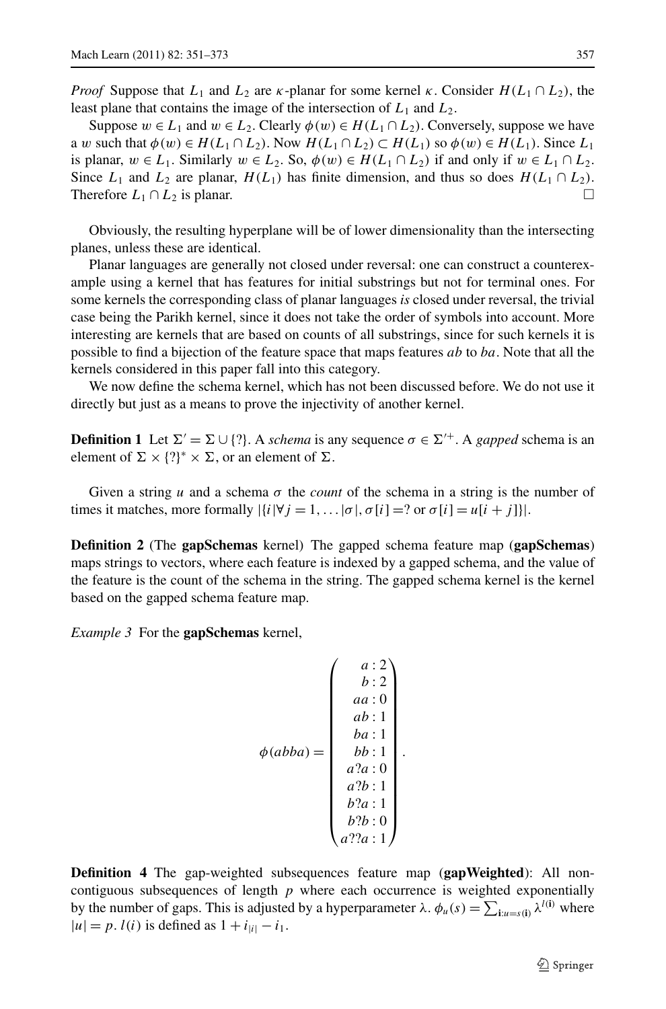*Proof* Suppose that  $L_1$  and  $L_2$  are *κ*-planar for some kernel *κ*. Consider  $H(L_1 \cap L_2)$ , the least plane that contains the image of the intersection of  $L_1$  and  $L_2$ .

Suppose  $w \in L_1$  and  $w \in L_2$ . Clearly  $\phi(w) \in H(L_1 \cap L_2)$ . Conversely, suppose we have a *w* such that  $\phi(w) \in H(L_1 \cap L_2)$ . Now  $H(L_1 \cap L_2) \subset H(L_1)$  so  $\phi(w) \in H(L_1)$ . Since  $L_1$ is planar,  $w \in L_1$ . Similarly  $w \in L_2$ . So,  $\phi(w) \in H(L_1 \cap L_2)$  if and only if  $w \in L_1 \cap L_2$ . Since  $L_1$  and  $L_2$  are planar,  $H(L_1)$  has finite dimension, and thus so does  $H(L_1 \cap L_2)$ . Therefore  $L_1 \cap L_2$  is planar.  $\Box$ 

Obviously, the resulting hyperplane will be of lower dimensionality than the intersecting planes, unless these are identical.

Planar languages are generally not closed under reversal: one can construct a counterexample using a kernel that has features for initial substrings but not for terminal ones. For some kernels the corresponding class of planar languages *is* closed under reversal, the trivial case being the Parikh kernel, since it does not take the order of symbols into account. More interesting are kernels that are based on counts of all substrings, since for such kernels it is possible to find a bijection of the feature space that maps features *ab* to *ba*. Note that all the kernels considered in this paper fall into this category.

We now define the schema kernel, which has not been discussed before. We do not use it directly but just as a means to prove the injectivity of another kernel.

**Definition 1** Let  $\Sigma' = \Sigma \cup \{? \}$ . A *schema* is any sequence  $\sigma \in \Sigma'^{+}$ . A *gapped* schema is an element of  $\Sigma \times \{? \}^* \times \Sigma$ , or an element of  $\Sigma$ .

Given a string *u* and a schema *σ* the *count* of the schema in a string is the number of times it matches, more formally  $\{i | \forall j = 1, \ldots | \sigma |, \sigma[i] = ? \text{ or } \sigma[i] = u[i + j]\}.$ 

**Definition 2** (The **gapSchemas** kernel) The gapped schema feature map (**gapSchemas**) maps strings to vectors, where each feature is indexed by a gapped schema, and the value of the feature is the count of the schema in the string. The gapped schema kernel is the kernel based on the gapped schema feature map.

*Example 3* For the **gapSchemas** kernel,

$$
\phi(abba) = \begin{pmatrix}\n a:2 \\
b:2 \\
aa:0 \\
ab:1 \\
ba:1 \\
ba:1 \\
ba:1 \\
a?a:0 \\
a?b:1 \\
b?b:0 \\
a?2a:1\n\end{pmatrix}
$$

**Definition 4** The gap-weighted subsequences feature map (**gapWeighted**): All noncontiguous subsequences of length *p* where each occurrence is weighted exponentially by the number of gaps. This is adjusted by a hyperparameter  $\lambda$ .  $\phi_u(s) = \sum_{i:u=s(i)} \lambda^{l(i)}$  where  $|u| = p$ . *l*(*i*) is defined as  $1 + i_{|i|} - i_1$ .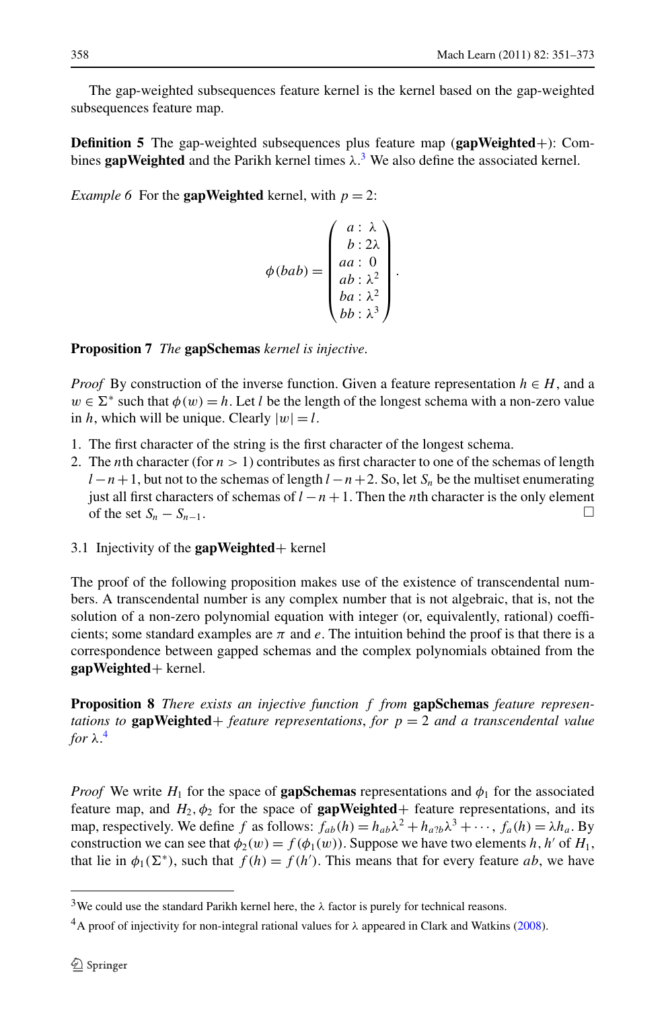The gap-weighted subsequences feature kernel is the kernel based on the gap-weighted subsequences feature map.

**Definition 5** The gap-weighted subsequences plus feature map (**gapWeighted**+): Combines **gapWeighted** and the Parikh kernel times *λ*. [3](#page-7-0) We also define the associated kernel.

*Example* 6 For the **gapWeighted** kernel, with  $p = 2$ :

$$
\phi(bab) = \begin{pmatrix} a:\lambda \\ b:2\lambda \\ aa:0 \\ ab:\lambda^2 \\ ba:\lambda^2 \\ ba:\lambda^3 \end{pmatrix}.
$$

**Proposition 7** *The* **gapSchemas** *kernel is injective*.

*Proof* By construction of the inverse function. Given a feature representation  $h \in H$ , and a  $w \in \Sigma^*$  such that  $\phi(w) = h$ . Let *l* be the length of the longest schema with a non-zero value in *h*, which will be unique. Clearly  $|w| = l$ .

- 1. The first character of the string is the first character of the longest schema.
- 2. The *n*th character (for  $n > 1$ ) contributes as first character to one of the schemas of length  $l - n + 1$ , but not to the schemas of length  $l - n + 2$ . So, let  $S_n$  be the multiset enumerating just all first characters of schemas of  $l - n + 1$ . Then the *n*th character is the only element of the set  $S_n - S_{n-1}$ .  $□$
- 3.1 Injectivity of the **gapWeighted**+ kernel

The proof of the following proposition makes use of the existence of transcendental numbers. A transcendental number is any complex number that is not algebraic, that is, not the solution of a non-zero polynomial equation with integer (or, equivalently, rational) coefficients; some standard examples are  $\pi$  and *e*. The intuition behind the proof is that there is a correspondence between gapped schemas and the complex polynomials obtained from the **gapWeighted**+ kernel.

**Proposition 8** *There exists an injective function f from* **gapSchemas** *feature representations to* **gapWeighted**+ *feature representations*, *for p* = 2 *and a transcendental value for λ*. [4](#page-7-1)

<span id="page-7-1"></span><span id="page-7-0"></span>*Proof* We write  $H_1$  for the space of **gapSchemas** representations and  $\phi_1$  for the associated feature map, and  $H_2$ ,  $\phi_2$  for the space of **gapWeighted**+ feature representations, and its map, respectively. We define *f* as follows:  $f_{ab}(h) = h_{ab}\lambda^2 + h_{a}b\lambda^3 + \cdots$ ,  $f_a(h) = \lambda h_a$ . By construction we can see that  $\phi_2(w) = f(\phi_1(w))$ . Suppose we have two elements *h*, *h'* of *H*<sub>1</sub>, that lie in  $\phi_1(\Sigma^*)$ , such that  $f(h) = f(h')$ . This means that for every feature *ab*, we have

<sup>3</sup>We could use the standard Parikh kernel here, the *λ* factor is purely for technical reasons.

<sup>4</sup>A proof of injectivity for non-integral rational values for *λ* appeared in Clark and Watkins ([2008\)](#page-21-13).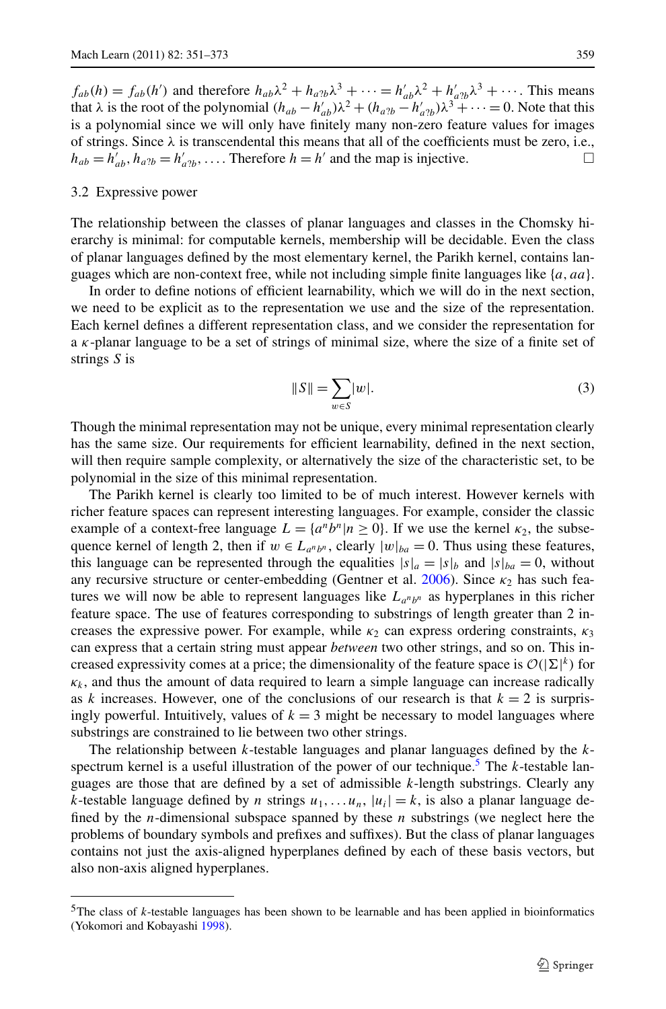$f_{ab}(h) = f_{ab}(h')$  and therefore  $h_{ab}\lambda^2 + h_{a'b}\lambda^3 + \cdots = h'_{ab}\lambda^2 + h'_{a'b}\lambda^3 + \cdots$ . This means that  $\lambda$  is the root of the polynomial  $(h_{ab} - h'_{ab})\lambda^2 + (h_{a'b} - h'_{a'b})\lambda^3 + \cdots = 0$ . Note that this is a polynomial since we will only have finitely many non-zero feature values for images of strings. Since  $\lambda$  is transcendental this means that all of the coefficients must be zero, i.e.,  $h_{ab} = h'_{ab}, h_{a2b} = h'_{a2b}, \ldots$  Therefore  $h = h'$  and the map is injective.

### 3.2 Expressive power

The relationship between the classes of planar languages and classes in the Chomsky hierarchy is minimal: for computable kernels, membership will be decidable. Even the class of planar languages defined by the most elementary kernel, the Parikh kernel, contains languages which are non-context free, while not including simple finite languages like {*a,aa*}.

In order to define notions of efficient learnability, which we will do in the next section, we need to be explicit as to the representation we use and the size of the representation. Each kernel defines a different representation class, and we consider the representation for a *κ*-planar language to be a set of strings of minimal size, where the size of a finite set of strings *S* is

$$
||S|| = \sum_{w \in S} |w|.
$$
 (3)

Though the minimal representation may not be unique, every minimal representation clearly has the same size. Our requirements for efficient learnability, defined in the next section, will then require sample complexity, or alternatively the size of the characteristic set, to be polynomial in the size of this minimal representation.

The Parikh kernel is clearly too limited to be of much interest. However kernels with richer feature spaces can represent interesting languages. For example, consider the classic example of a context-free language  $L = \{a^n b^n | n \ge 0\}$ . If we use the kernel  $\kappa_2$ , the subsequence kernel of length 2, then if  $w \in L_{a^n b^n}$ , clearly  $|w|_{ba} = 0$ . Thus using these features, this language can be represented through the equalities  $|s|_a = |s|_b$  and  $|s|_{ba} = 0$ , without any recursive structure or center-embedding (Gentner et al. [2006](#page-21-5)). Since *κ*<sub>2</sub> has such features we will now be able to represent languages like  $L_{a^n b^n}$  as hyperplanes in this richer feature space. The use of features corresponding to substrings of length greater than 2 increases the expressive power. For example, while  $\kappa_2$  can express ordering constraints,  $\kappa_3$ can express that a certain string must appear *between* two other strings, and so on. This increased expressivity comes at a price; the dimensionality of the feature space is  $\mathcal{O}(|\Sigma|^k)$  for  $\kappa_k$ , and thus the amount of data required to learn a simple language can increase radically as *k* increases. However, one of the conclusions of our research is that  $k = 2$  is surprisingly powerful. Intuitively, values of  $k = 3$  might be necessary to model languages where substrings are constrained to lie between two other strings.

<span id="page-8-0"></span>The relationship between *k*-testable languages and planar languages defined by the *k*-spectrum kernel is a useful illustration of the power of our technique.<sup>[5](#page-8-0)</sup> The  $k$ -testable languages are those that are defined by a set of admissible *k*-length substrings. Clearly any *k*-testable language defined by *n* strings  $u_1, \ldots, u_n$ ,  $|u_i| = k$ , is also a planar language defined by the *n*-dimensional subspace spanned by these *n* substrings (we neglect here the problems of boundary symbols and prefixes and suffixes). But the class of planar languages contains not just the axis-aligned hyperplanes defined by each of these basis vectors, but also non-axis aligned hyperplanes.

<sup>5</sup>The class of *k*-testable languages has been shown to be learnable and has been applied in bioinformatics (Yokomori and Kobayashi [1998](#page-22-7)).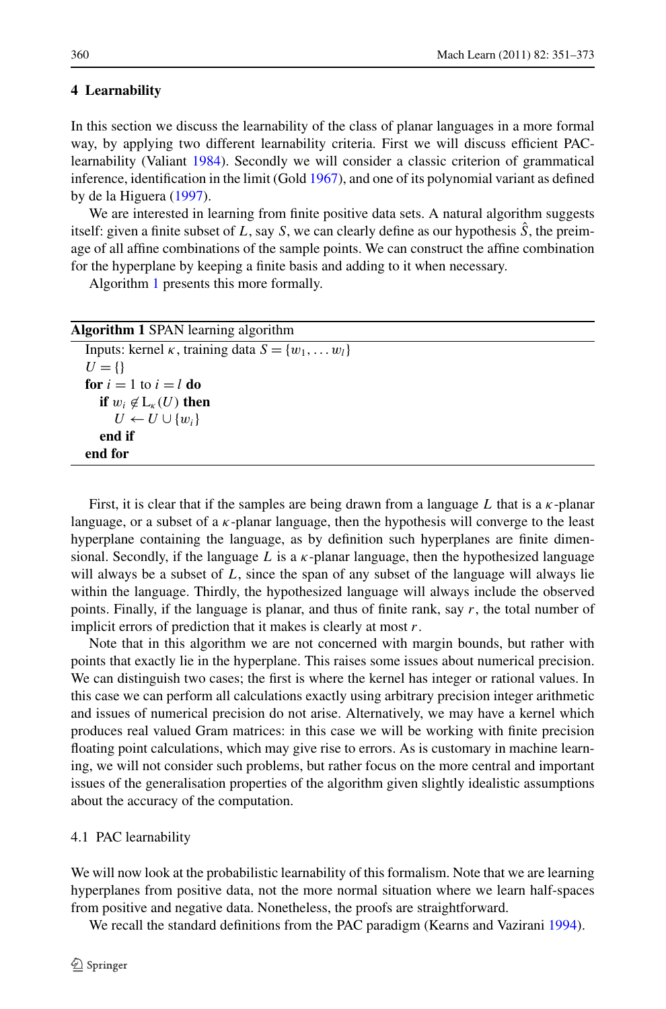### <span id="page-9-0"></span>**4 Learnability**

In this section we discuss the learnability of the class of planar languages in a more formal way, by applying two different learnability criteria. First we will discuss efficient PAClearnability (Valiant [1984\)](#page-22-8). Secondly we will consider a classic criterion of grammatical inference, identification in the limit (Gold [1967](#page-21-14)), and one of its polynomial variant as defined by de la Higuera [\(1997](#page-21-15)).

<span id="page-9-1"></span>We are interested in learning from finite positive data sets. A natural algorithm suggests itself: given a finite subset of  $L$ , say  $S$ , we can clearly define as our hypothesis  $\tilde{S}$ , the preimage of all affine combinations of the sample points. We can construct the affine combination for the hyperplane by keeping a finite basis and adding to it when necessary.

Algorithm [1](#page-9-1) presents this more formally.

| Algorithm 1 SPAN learning algorithm                              |
|------------------------------------------------------------------|
| Inputs: kernel $\kappa$ , training data $S = \{w_1, \dots w_l\}$ |
| $U = \{\}$                                                       |
| for $i = 1$ to $i = l$ do                                        |
| if $w_i \notin L_{\kappa}(U)$ then                               |
| $U \leftarrow U \cup \{w_i\}$                                    |
| end if                                                           |
| end for                                                          |
|                                                                  |

First, it is clear that if the samples are being drawn from a language *L* that is a *κ*-planar language, or a subset of a *κ*-planar language, then the hypothesis will converge to the least hyperplane containing the language, as by definition such hyperplanes are finite dimensional. Secondly, if the language *L* is a *κ*-planar language, then the hypothesized language will always be a subset of L, since the span of any subset of the language will always lie within the language. Thirdly, the hypothesized language will always include the observed points. Finally, if the language is planar, and thus of finite rank, say *r*, the total number of implicit errors of prediction that it makes is clearly at most *r*.

Note that in this algorithm we are not concerned with margin bounds, but rather with points that exactly lie in the hyperplane. This raises some issues about numerical precision. We can distinguish two cases; the first is where the kernel has integer or rational values. In this case we can perform all calculations exactly using arbitrary precision integer arithmetic and issues of numerical precision do not arise. Alternatively, we may have a kernel which produces real valued Gram matrices: in this case we will be working with finite precision floating point calculations, which may give rise to errors. As is customary in machine learning, we will not consider such problems, but rather focus on the more central and important issues of the generalisation properties of the algorithm given slightly idealistic assumptions about the accuracy of the computation.

### 4.1 PAC learnability

We will now look at the probabilistic learnability of this formalism. Note that we are learning hyperplanes from positive data, not the more normal situation where we learn half-spaces from positive and negative data. Nonetheless, the proofs are straightforward.

We recall the standard definitions from the PAC paradigm (Kearns and Vazirani [1994\)](#page-21-16).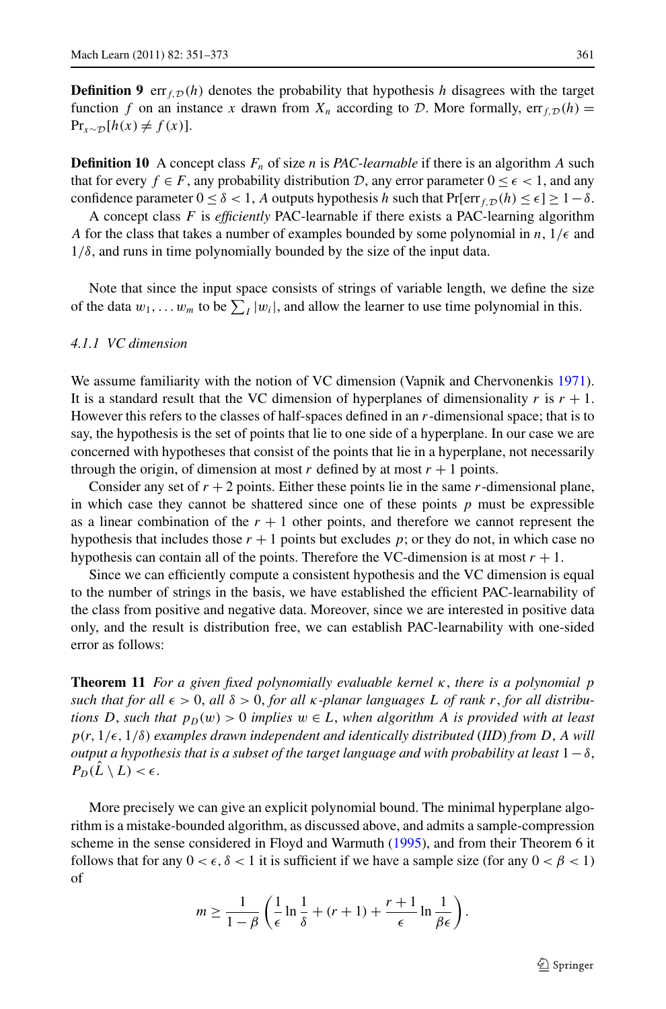**Definition 9** err<sub>f,D</sub>(h) denotes the probability that hypothesis h disagrees with the target function *f* on an instance *x* drawn from  $X_n$  according to D. More formally,  $err_{f,D}(h) =$  $Pr_{x \sim \mathcal{D}}[h(x) \neq f(x)].$ 

**Definition 10** A concept class  $F_n$  of size *n* is *PAC-learnable* if there is an algorithm *A* such that for every  $f \in F$ , any probability distribution  $\mathcal{D}$ , any error parameter  $0 \leq \epsilon \leq 1$ , and any confidence parameter  $0 \le \delta < 1$ , *A* outputs hypothesis *h* such that  $Pr[err_{f,D}(h) \le \epsilon] \ge 1-\delta$ .

A concept class *F* is *efficiently* PAC-learnable if there exists a PAC-learning algorithm *A* for the class that takes a number of examples bounded by some polynomial in *n*,  $1/\epsilon$  and  $1/\delta$ , and runs in time polynomially bounded by the size of the input data.

Note that since the input space consists of strings of variable length, we define the size of the data  $w_1, \ldots w_m$  to be  $\sum_l |w_i|$ , and allow the learner to use time polynomial in this.

#### *4.1.1 VC dimension*

We assume familiarity with the notion of VC dimension (Vapnik and Chervonenkis [1971](#page-22-9)). It is a standard result that the VC dimension of hyperplanes of dimensionality  $r$  is  $r + 1$ . However this refers to the classes of half-spaces defined in an *r*-dimensional space; that is to say, the hypothesis is the set of points that lie to one side of a hyperplane. In our case we are concerned with hypotheses that consist of the points that lie in a hyperplane, not necessarily through the origin, of dimension at most  $r$  defined by at most  $r + 1$  points.

Consider any set of  $r + 2$  points. Either these points lie in the same  $r$ -dimensional plane, in which case they cannot be shattered since one of these points  $p$  must be expressible as a linear combination of the  $r + 1$  other points, and therefore we cannot represent the hypothesis that includes those  $r + 1$  points but excludes  $p$ ; or they do not, in which case no hypothesis can contain all of the points. Therefore the VC-dimension is at most  $r + 1$ .

Since we can efficiently compute a consistent hypothesis and the VC dimension is equal to the number of strings in the basis, we have established the efficient PAC-learnability of the class from positive and negative data. Moreover, since we are interested in positive data only, and the result is distribution free, we can establish PAC-learnability with one-sided error as follows:

**Theorem 11** *For a given fixed polynomially evaluable kernel κ*, *there is a polynomial p such that for all*  $\epsilon > 0$ , *all*  $\delta > 0$ , *for all*  $\kappa$ *-planar languages L of rank r*, *for all* distribu*tions D*, *such that*  $p_D(w) > 0$  *implies*  $w \in L$ , *when algorithm A is provided with at least*  $p(r, 1/\epsilon, 1/\delta)$  *examples drawn independent and identically distributed* (*IID*) *from D*, *A will output a hypothesis that is a subset of the target language and with probability at least*  $1-\delta$ ,  $P_D(\tilde{L} \setminus L) < \epsilon$ .

More precisely we can give an explicit polynomial bound. The minimal hyperplane algorithm is a mistake-bounded algorithm, as discussed above, and admits a sample-compression scheme in the sense considered in Floyd and Warmuth [\(1995](#page-21-17)), and from their Theorem 6 it follows that for any  $0 < \epsilon, \delta < 1$  it is sufficient if we have a sample size (for any  $0 < \beta < 1$ ) of

$$
m \ge \frac{1}{1-\beta} \left( \frac{1}{\epsilon} \ln \frac{1}{\delta} + (r+1) + \frac{r+1}{\epsilon} \ln \frac{1}{\beta \epsilon} \right).
$$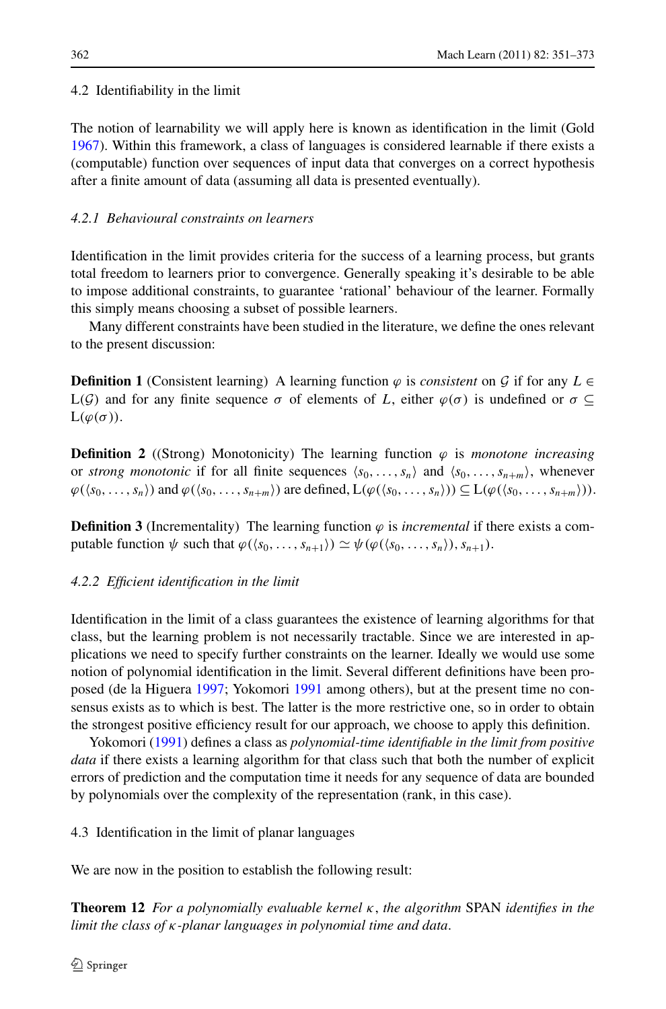# 4.2 Identifiability in the limit

The notion of learnability we will apply here is known as identification in the limit (Gold [1967\)](#page-21-14). Within this framework, a class of languages is considered learnable if there exists a (computable) function over sequences of input data that converges on a correct hypothesis after a finite amount of data (assuming all data is presented eventually).

# *4.2.1 Behavioural constraints on learners*

Identification in the limit provides criteria for the success of a learning process, but grants total freedom to learners prior to convergence. Generally speaking it's desirable to be able to impose additional constraints, to guarantee 'rational' behaviour of the learner. Formally this simply means choosing a subset of possible learners.

Many different constraints have been studied in the literature, we define the ones relevant to the present discussion:

**Definition 1** (Consistent learning) A learning function  $\varphi$  is *consistent* on  $\mathcal{G}$  if for any  $L \in$ L(*G*) and for any finite sequence *σ* of elements of *L*, either *ϕ*(*σ*) is undefined or *σ* ⊆  $L(\varphi(\sigma)).$ 

**Definition 2** ((Strong) Monotonicity) The learning function  $\varphi$  is *monotone increasing* or *strong monotonic* if for all finite sequences  $\langle s_0, \ldots, s_n \rangle$  and  $\langle s_0, \ldots, s_{n+m} \rangle$ , whenever  $\varphi(\langle s_0, \ldots, s_n \rangle)$  and  $\varphi(\langle s_0, \ldots, s_{n+m} \rangle)$  are defined,  $L(\varphi(\langle s_0, \ldots, s_n \rangle)) \subseteq L(\varphi(\langle s_0, \ldots, s_{n+m} \rangle)).$ 

**Definition 3** (Incrementality) The learning function  $\varphi$  is *incremental* if there exists a computable function  $\psi$  such that  $\varphi(\langle s_0, \ldots, s_{n+1} \rangle) \simeq \psi(\varphi(\langle s_0, \ldots, s_n \rangle), s_{n+1}).$ 

# *4.2.2 Efficient identification in the limit*

Identification in the limit of a class guarantees the existence of learning algorithms for that class, but the learning problem is not necessarily tractable. Since we are interested in applications we need to specify further constraints on the learner. Ideally we would use some notion of polynomial identification in the limit. Several different definitions have been proposed (de la Higuera [1997](#page-21-15); Yokomori [1991](#page-22-10) among others), but at the present time no consensus exists as to which is best. The latter is the more restrictive one, so in order to obtain the strongest positive efficiency result for our approach, we choose to apply this definition.

Yokomori ([1991\)](#page-22-10) defines a class as *polynomial-time identifiable in the limit from positive data* if there exists a learning algorithm for that class such that both the number of explicit errors of prediction and the computation time it needs for any sequence of data are bounded by polynomials over the complexity of the representation (rank, in this case).

4.3 Identification in the limit of planar languages

We are now in the position to establish the following result:

**Theorem 12** *For a polynomially evaluable kernel κ*, *the algorithm* SPAN *identifies in the limit the class of κ-planar languages in polynomial time and data*.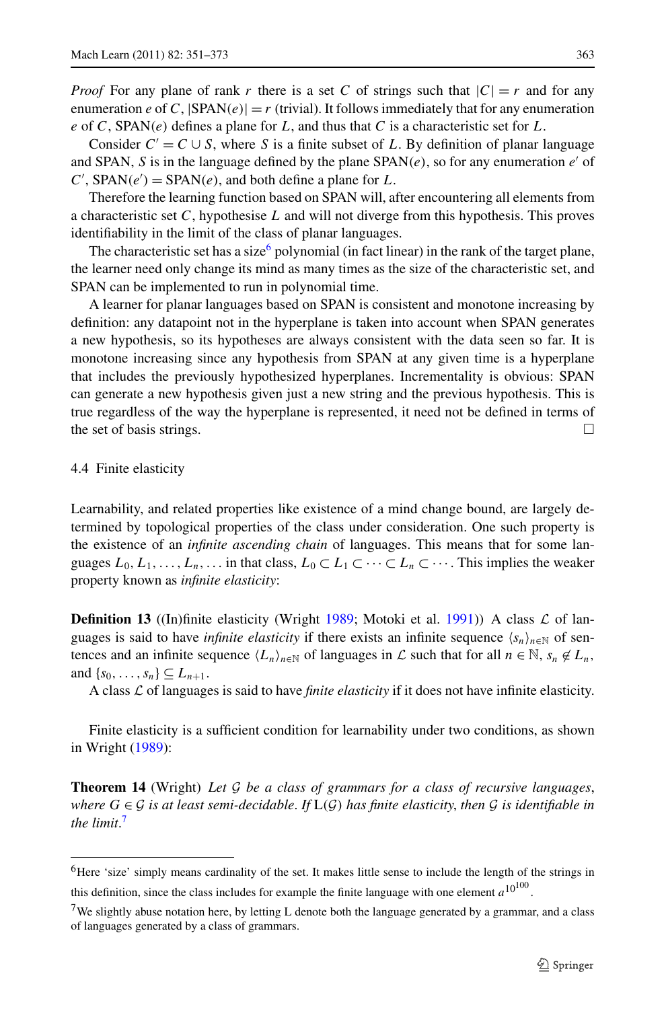*Proof* For any plane of rank *r* there is a set *C* of strings such that  $|C| = r$  and for any enumeration *e* of *C*,  $|SPAN(e)| = r$  (trivial). It follows immediately that for any enumeration *e* of *C*, SPAN*(e)* defines a plane for *L*, and thus that *C* is a characteristic set for *L*.

Consider  $C' = C \cup S$ , where *S* is a finite subset of *L*. By definition of planar language and SPAN, *S* is in the language defined by the plane SPAN $(e)$ , so for any enumeration  $e'$  of  $C'$ ,  $SPAN(e') = SPAN(e)$ , and both define a plane for *L*.

Therefore the learning function based on SPAN will, after encountering all elements from a characteristic set *C*, hypothesise *L* and will not diverge from this hypothesis. This proves identifiability in the limit of the class of planar languages.

The characteristic set has a size $^6$  $^6$  polynomial (in fact linear) in the rank of the target plane, the learner need only change its mind as many times as the size of the characteristic set, and SPAN can be implemented to run in polynomial time.

A learner for planar languages based on SPAN is consistent and monotone increasing by definition: any datapoint not in the hyperplane is taken into account when SPAN generates a new hypothesis, so its hypotheses are always consistent with the data seen so far. It is monotone increasing since any hypothesis from SPAN at any given time is a hyperplane that includes the previously hypothesized hyperplanes. Incrementality is obvious: SPAN can generate a new hypothesis given just a new string and the previous hypothesis. This is true regardless of the way the hyperplane is represented, it need not be defined in terms of the set of basis strings.  $\Box$ 

### 4.4 Finite elasticity

Learnability, and related properties like existence of a mind change bound, are largely determined by topological properties of the class under consideration. One such property is the existence of an *infinite ascending chain* of languages. This means that for some languages  $L_0, L_1, \ldots, L_n, \ldots$  in that class,  $L_0 \subset L_1 \subset \cdots \subset L_n \subset \cdots$ . This implies the weaker property known as *infinite elasticity*:

<span id="page-12-2"></span>**Definition 13** ((In)finite elasticity (Wright  $1989$ ; Motoki et al. [1991](#page-21-18))) A class  $\mathcal{L}$  of languages is said to have *infinite elasticity* if there exists an infinite sequence  $\langle s_n \rangle_{n \in \mathbb{N}}$  of sentences and an infinite sequence  $\langle L_n \rangle_{n \in \mathbb{N}}$  of languages in  $\mathcal L$  such that for all  $n \in \mathbb{N}$ ,  $s_n \notin L_n$ , and  $\{s_0, \ldots, s_n\} \subseteq L_{n+1}$ .

A class L of languages is said to have *finite elasticity* if it does not have infinite elasticity.

<span id="page-12-0"></span>Finite elasticity is a sufficient condition for learnability under two conditions, as shown in Wright ([1989\)](#page-22-11):

<span id="page-12-1"></span>**Theorem 14** (Wright) *Let* G *be a class of grammars for a class of recursive languages*, *where G* ∈ G *is at least semi-decidable*. *If* L*(*G*) has finite elasticity*, *then* G *is identifiable in the limit*. [7](#page-12-1)

 $<sup>6</sup>$  Here 'size' simply means cardinality of the set. It makes little sense to include the length of the strings in</sup> this definition, since the class includes for example the finite language with one element  $a^{10^{100}}$ 

<sup>&</sup>lt;sup>7</sup>We slightly abuse notation here, by letting L denote both the language generated by a grammar, and a class of languages generated by a class of grammars.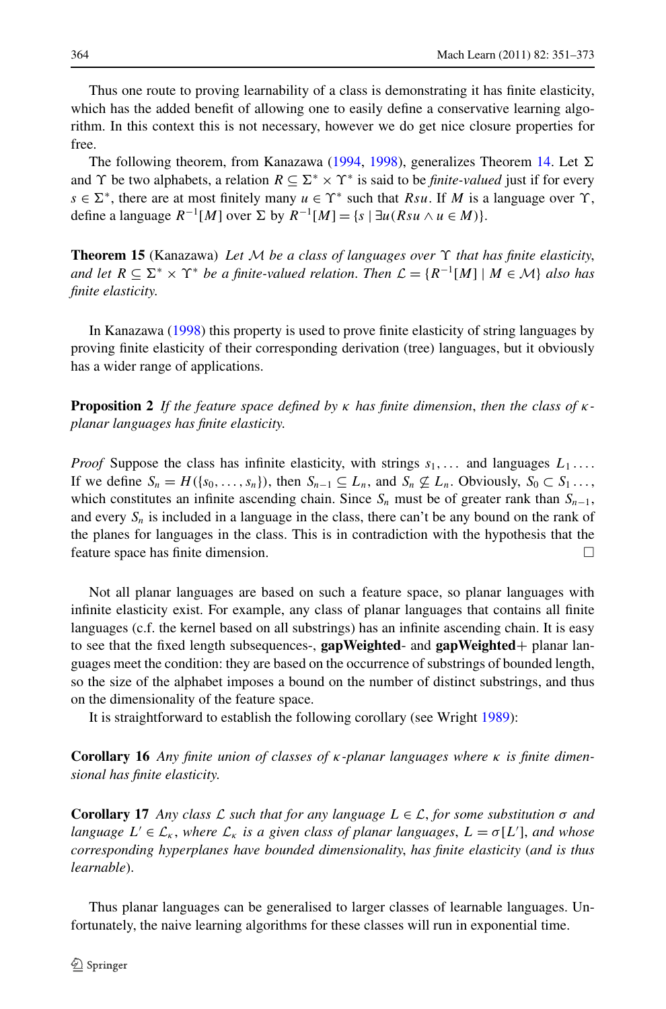Thus one route to proving learnability of a class is demonstrating it has finite elasticity, which has the added benefit of allowing one to easily define a conservative learning algorithm. In this context this is not necessary, however we do get nice closure properties for free.

The following theorem, from Kanazawa [\(1994](#page-21-19), [1998\)](#page-21-20), generalizes Theorem [14.](#page-12-2) Let Σ and *Y* be two alphabets, a relation  $R \subseteq \Sigma^* \times \Upsilon^*$  is said to be *finite-valued* just if for every *s*  $\in \Sigma^*$ , there are at most finitely many  $u \in \Upsilon^*$  such that *Rsu*. If *M* is a language over  $\Upsilon$ , define a language  $R^{-1}[M]$  over  $\Sigma$  by  $R^{-1}[M] = \{s \mid \exists u(Rsu \land u \in M)\}.$ 

**Theorem 15** (Kanazawa) *Let* M *be a class of languages over ϒ that has finite elasticity*, *and let*  $R \subseteq \Sigma^* \times \Upsilon^*$  *be a finite-valued relation. Then*  $\mathcal{L} = \{R^{-1}[M] \mid M \in \mathcal{M}\}$  also has *finite elasticity*.

In Kanazawa ([1998\)](#page-21-20) this property is used to prove finite elasticity of string languages by proving finite elasticity of their corresponding derivation (tree) languages, but it obviously has a wider range of applications.

**Proposition 2** *If the feature space defined by κ has finite dimension*, *then the class of κplanar languages has finite elasticity*.

*Proof* Suppose the class has infinite elasticity, with strings  $s_1$ ,... and languages  $L_1$ ... If we define  $S_n = H(\lbrace s_0, \ldots, s_n \rbrace)$ , then  $S_{n-1} \subseteq L_n$ , and  $S_n \nsubseteq L_n$ . Obviously,  $S_0 \subset S_1 \ldots$ , which constitutes an infinite ascending chain. Since  $S_n$  must be of greater rank than  $S_{n-1}$ , and every  $S_n$  is included in a language in the class, there can't be any bound on the rank of the planes for languages in the class. This is in contradiction with the hypothesis that the feature space has finite dimension.  $\Box$ 

Not all planar languages are based on such a feature space, so planar languages with infinite elasticity exist. For example, any class of planar languages that contains all finite languages (c.f. the kernel based on all substrings) has an infinite ascending chain. It is easy to see that the fixed length subsequences-, **gapWeighted**- and **gapWeighted**+ planar languages meet the condition: they are based on the occurrence of substrings of bounded length, so the size of the alphabet imposes a bound on the number of distinct substrings, and thus on the dimensionality of the feature space.

It is straightforward to establish the following corollary (see Wright [1989\)](#page-22-11):

**Corollary 16** *Any finite union of classes of κ-planar languages where κ is finite dimensional has finite elasticity*.

**Corollary 17** *Any class*  $\mathcal{L}$  *such that for any language*  $L \in \mathcal{L}$ , *for some substitution*  $\sigma$  *and language*  $L' \in \mathcal{L}_{\kappa}$ , *where*  $\mathcal{L}_{\kappa}$  *is a given class of planar languages,*  $L = \sigma[L']$ , *and whose corresponding hyperplanes have bounded dimensionality*, *has finite elasticity* (*and is thus learnable*).

Thus planar languages can be generalised to larger classes of learnable languages. Unfortunately, the naive learning algorithms for these classes will run in exponential time.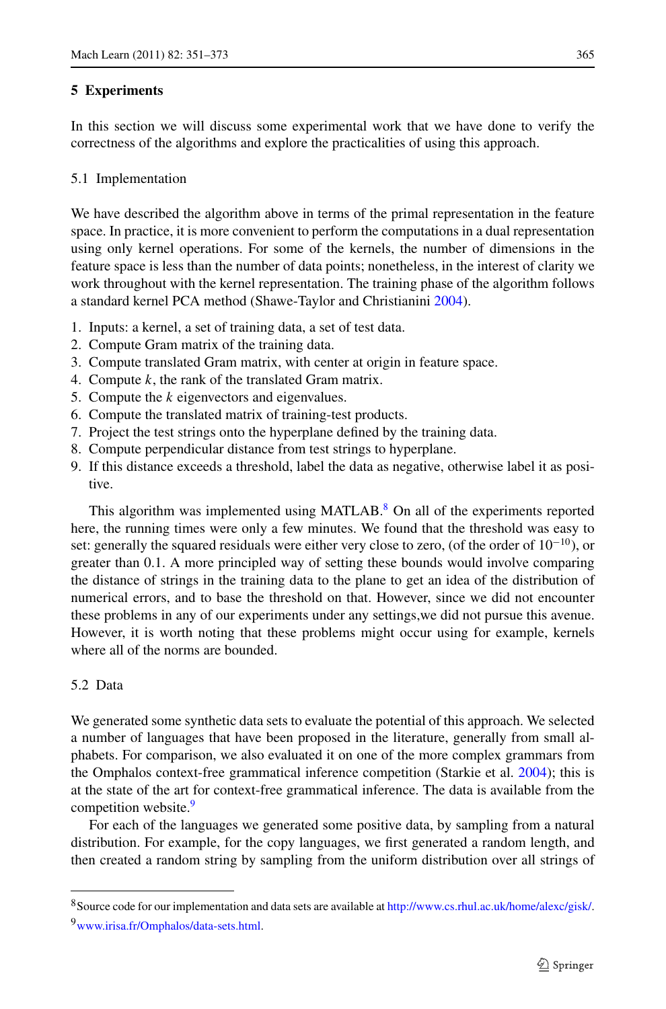# <span id="page-14-0"></span>**5 Experiments**

In this section we will discuss some experimental work that we have done to verify the correctness of the algorithms and explore the practicalities of using this approach.

# 5.1 Implementation

We have described the algorithm above in terms of the primal representation in the feature space. In practice, it is more convenient to perform the computations in a dual representation using only kernel operations. For some of the kernels, the number of dimensions in the feature space is less than the number of data points; nonetheless, in the interest of clarity we work throughout with the kernel representation. The training phase of the algorithm follows a standard kernel PCA method (Shawe-Taylor and Christianini [2004\)](#page-22-6).

- 1. Inputs: a kernel, a set of training data, a set of test data.
- 2. Compute Gram matrix of the training data.
- 3. Compute translated Gram matrix, with center at origin in feature space.
- 4. Compute *k*, the rank of the translated Gram matrix.
- 5. Compute the *k* eigenvectors and eigenvalues.
- 6. Compute the translated matrix of training-test products.
- 7. Project the test strings onto the hyperplane defined by the training data.
- 8. Compute perpendicular distance from test strings to hyperplane.
- 9. If this distance exceeds a threshold, label the data as negative, otherwise label it as positive.

This algorithm was implemented using  $MATLAB<sup>8</sup>$  $MATLAB<sup>8</sup>$  $MATLAB<sup>8</sup>$  On all of the experiments reported here, the running times were only a few minutes. We found that the threshold was easy to set: generally the squared residuals were either very close to zero, (of the order of  $10^{-10}$ ), or greater than 0.1. A more principled way of setting these bounds would involve comparing the distance of strings in the training data to the plane to get an idea of the distribution of numerical errors, and to base the threshold on that. However, since we did not encounter these problems in any of our experiments under any settings,we did not pursue this avenue. However, it is worth noting that these problems might occur using for example, kernels where all of the norms are bounded.

# 5.2 Data

<span id="page-14-1"></span>We generated some synthetic data sets to evaluate the potential of this approach. We selected a number of languages that have been proposed in the literature, generally from small alphabets. For comparison, we also evaluated it on one of the more complex grammars from the Omphalos context-free grammatical inference competition (Starkie et al. [2004](#page-22-0)); this is at the state of the art for context-free grammatical inference. The data is available from the competition website.<sup>[9](#page-14-2)</sup>

<span id="page-14-2"></span>For each of the languages we generated some positive data, by sampling from a natural distribution. For example, for the copy languages, we first generated a random length, and then created a random string by sampling from the uniform distribution over all strings of

<sup>8</sup>Source code for our implementation and data sets are available at [http://www.cs.rhul.ac.uk/home/alexc/gisk/.](http://www.cs.rhul.ac.uk/home/alexc/gisk/)

<sup>&</sup>lt;sup>9</sup>[www.irisa.fr/Omphalos/data-sets.html](http://www.irisa.fr/Omphalos/data-sets.html).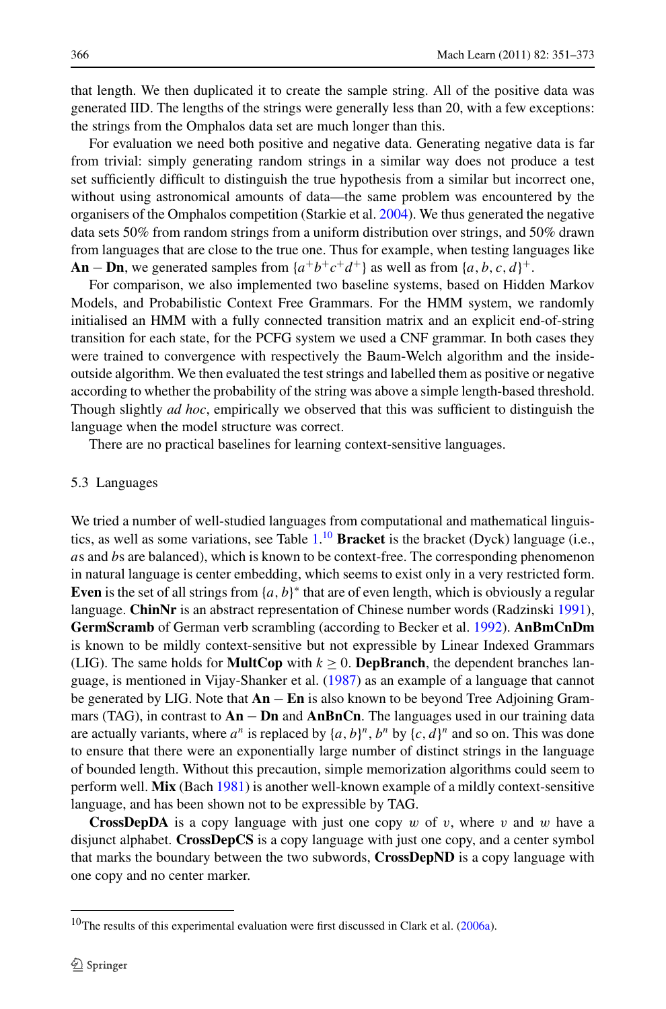that length. We then duplicated it to create the sample string. All of the positive data was generated IID. The lengths of the strings were generally less than 20, with a few exceptions: the strings from the Omphalos data set are much longer than this.

For evaluation we need both positive and negative data. Generating negative data is far from trivial: simply generating random strings in a similar way does not produce a test set sufficiently difficult to distinguish the true hypothesis from a similar but incorrect one, without using astronomical amounts of data—the same problem was encountered by the organisers of the Omphalos competition (Starkie et al. [2004](#page-22-0)). We thus generated the negative data sets 50% from random strings from a uniform distribution over strings, and 50% drawn from languages that are close to the true one. Thus for example, when testing languages like **An** − **Dn**, we generated samples from  $\{a^+b^+c^+d^+\}$  as well as from  $\{a, b, c, d\}^+$ .

For comparison, we also implemented two baseline systems, based on Hidden Markov Models, and Probabilistic Context Free Grammars. For the HMM system, we randomly initialised an HMM with a fully connected transition matrix and an explicit end-of-string transition for each state, for the PCFG system we used a CNF grammar. In both cases they were trained to convergence with respectively the Baum-Welch algorithm and the insideoutside algorithm. We then evaluated the test strings and labelled them as positive or negative according to whether the probability of the string was above a simple length-based threshold. Though slightly *ad hoc*, empirically we observed that this was sufficient to distinguish the language when the model structure was correct.

There are no practical baselines for learning context-sensitive languages.

#### 5.3 Languages

We tried a number of well-studied languages from computational and mathematical linguistics, as well as some variations, see Table [1.](#page-16-0) [10](#page-15-0) **Bracket** is the bracket (Dyck) language (i.e., *a*s and *b*s are balanced), which is known to be context-free. The corresponding phenomenon in natural language is center embedding, which seems to exist only in a very restricted form. **Even** is the set of all strings from  $\{a, b\}^*$  that are of even length, which is obviously a regular language. **ChinNr** is an abstract representation of Chinese number words (Radzinski [1991](#page-21-21)), **GermScramb** of German verb scrambling (according to Becker et al. [1992\)](#page-21-22). **AnBmCnDm** is known to be mildly context-sensitive but not expressible by Linear Indexed Grammars (LIG). The same holds for **MultCop** with  $k \ge 0$ . **DepBranch**, the dependent branches language, is mentioned in Vijay-Shanker et al. [\(1987](#page-22-12)) as an example of a language that cannot be generated by LIG. Note that **An** − **En** is also known to be beyond Tree Adjoining Grammars (TAG), in contrast to **An** − **Dn** and **AnBnCn**. The languages used in our training data are actually variants, where  $a^n$  is replaced by  $\{a, b\}^n$ ,  $b^n$  by  $\{c, d\}^n$  and so on. This was done to ensure that there were an exponentially large number of distinct strings in the language of bounded length. Without this precaution, simple memorization algorithms could seem to perform well. **Mix** (Bach [1981\)](#page-20-1) is another well-known example of a mildly context-sensitive language, and has been shown not to be expressible by TAG.

<span id="page-15-0"></span>**CrossDepDA** is a copy language with just one copy *w* of *v*, where *v* and *w* have a disjunct alphabet. **CrossDepCS** is a copy language with just one copy, and a center symbol that marks the boundary between the two subwords, **CrossDepND** is a copy language with one copy and no center marker.

<sup>10</sup>The results of this experimental evaluation were first discussed in Clark et al. [\(2006a\)](#page-21-23).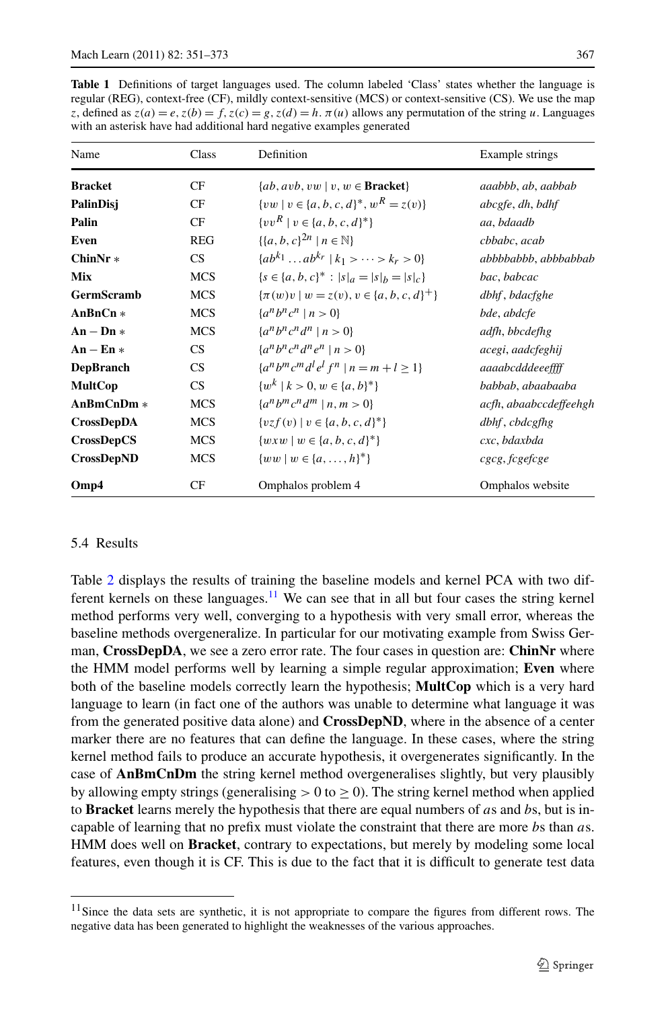<span id="page-16-0"></span>**Table 1** Definitions of target languages used. The column labeled 'Class' states whether the language is regular (REG), context-free (CF), mildly context-sensitive (MCS) or context-sensitive (CS). We use the map *z*, defined as  $z(a) = e$ ,  $z(b) = f$ ,  $z(c) = g$ ,  $z(d) = h$ .  $\pi(u)$  allows any permutation of the string *u*. Languages with an asterisk have had additional hard negative examples generated

| Name              | Class      | Definition                                             | Example strings        |
|-------------------|------------|--------------------------------------------------------|------------------------|
| <b>Bracket</b>    | СF         | ${ab, avb, vw \mid v, w \in Bracket}$                  | aaabbb, ab, aabbab     |
| PalinDisi         | CF         | $\{vw \mid v \in \{a, b, c, d\}^*, w^R = z(v)\}\$      | abcgfe, dh, bdhf       |
| Palin             | CF         | $\{vv^R   v \in \{a, b, c, d\}^*\}$                    | aa, bdaadb             |
| Even              | <b>REG</b> | $\{ \{a, b, c\}^{2n} \mid n \in \mathbb{N} \}$         | cbbabc, acab           |
| Chin $Nr$ *       | <b>CS</b>  | ${ab^{k_1} \dots ab^{k_r} \mid k_1 > \dots > k_r > 0}$ | abbbbabbb, abbbabbab   |
| Mix               | <b>MCS</b> | ${s \in \{a, b, c\}^* :  s _a =  s _b =  s _c}$        | bac, babcac            |
| <b>GermScramb</b> | <b>MCS</b> | $\{\pi(w)v \mid w = z(v), v \in \{a, b, c, d\}^+\}$    | dbhf, bdacfghe         |
| $AnBnCn *$        | <b>MCS</b> | ${a^n b^n c^n \mid n > 0}$                             | bde, abdcfe            |
| $An - Dn *$       | <b>MCS</b> | ${a^n b^n c^n d^n \mid n > 0}$                         | adfh, bbcdefhg         |
| $An - En *$       | <b>CS</b>  | $\{a^n b^n c^n d^n e^n \mid n > 0\}$                   | acegi, aadcfeghij      |
| <b>DepBranch</b>  | <b>CS</b>  | ${a^n b^m c^m d^l e^l f^n \mid n = m + l > 1}$         | aaaabcdddeeeffff       |
| <b>MultCop</b>    | <b>CS</b>  | $\{w^k \mid k > 0, w \in \{a, b\}^*\}$                 | babbab, abaabaaba      |
| $AnBmCnDm *$      | <b>MCS</b> | ${a^n b^m c^n d^m \mid n, m > 0}$                      | acfh, abaabccdeffeehgh |
| <b>CrossDepDA</b> | <b>MCS</b> | $\{v z f(v) \mid v \in \{a, b, c, d\}^*\}\$            | dbhf, cbdcgfhg         |
| <b>CrossDepCS</b> | <b>MCS</b> | $\{wxw \mid w \in \{a, b, c, d\}^*\}$                  | cxc, bdaxbda           |
| CrossDepND        | <b>MCS</b> | $\{ww \mid w \in \{a, \ldots, h\}^*\}\$                | cgcg, fcgefcge         |
| Omp4              | CF         | Omphalos problem 4                                     | Omphalos website       |

### 5.4 Results

Table [2](#page-17-0) displays the results of training the baseline models and kernel PCA with two different kernels on these languages.<sup>11</sup> We can see that in all but four cases the string kernel method performs very well, converging to a hypothesis with very small error, whereas the baseline methods overgeneralize. In particular for our motivating example from Swiss German, **CrossDepDA**, we see a zero error rate. The four cases in question are: **ChinNr** where the HMM model performs well by learning a simple regular approximation; **Even** where both of the baseline models correctly learn the hypothesis; **MultCop** which is a very hard language to learn (in fact one of the authors was unable to determine what language it was from the generated positive data alone) and **CrossDepND**, where in the absence of a center marker there are no features that can define the language. In these cases, where the string kernel method fails to produce an accurate hypothesis, it overgenerates significantly. In the case of **AnBmCnDm** the string kernel method overgeneralises slightly, but very plausibly by allowing empty strings (generalising  $> 0$  to  $> 0$ ). The string kernel method when applied to **Bracket** learns merely the hypothesis that there are equal numbers of *a*s and *b*s, but is incapable of learning that no prefix must violate the constraint that there are more *b*s than *a*s. HMM does well on **Bracket**, contrary to expectations, but merely by modeling some local features, even though it is CF. This is due to the fact that it is difficult to generate test data

<span id="page-16-1"></span><sup>&</sup>lt;sup>11</sup>Since the data sets are synthetic, it is not appropriate to compare the figures from different rows. The negative data has been generated to highlight the weaknesses of the various approaches.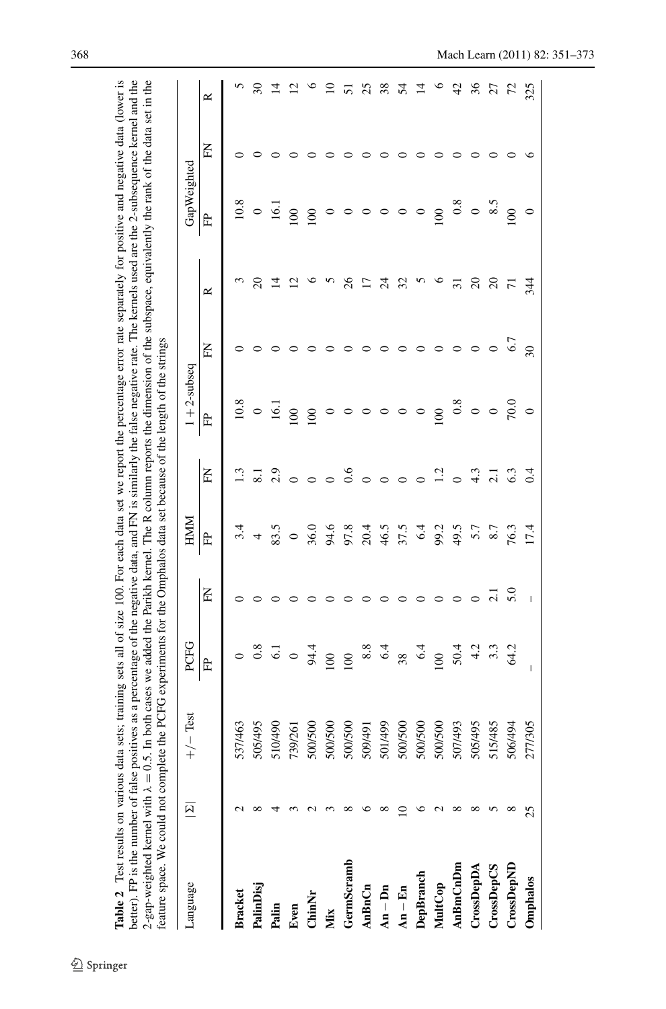|                                                                                                                                                                                                                                                                                                                                                                                                                                                                                                                                                                         |                 | Z<br>E |
|-------------------------------------------------------------------------------------------------------------------------------------------------------------------------------------------------------------------------------------------------------------------------------------------------------------------------------------------------------------------------------------------------------------------------------------------------------------------------------------------------------------------------------------------------------------------------|-----------------|--------|
|                                                                                                                                                                                                                                                                                                                                                                                                                                                                                                                                                                         | GapWeighted     |        |
|                                                                                                                                                                                                                                                                                                                                                                                                                                                                                                                                                                         |                 |        |
|                                                                                                                                                                                                                                                                                                                                                                                                                                                                                                                                                                         |                 | E<br>E |
|                                                                                                                                                                                                                                                                                                                                                                                                                                                                                                                                                                         | $1 + 2$ -subseq |        |
|                                                                                                                                                                                                                                                                                                                                                                                                                                                                                                                                                                         |                 |        |
|                                                                                                                                                                                                                                                                                                                                                                                                                                                                                                                                                                         | HMM             |        |
|                                                                                                                                                                                                                                                                                                                                                                                                                                                                                                                                                                         |                 |        |
|                                                                                                                                                                                                                                                                                                                                                                                                                                                                                                                                                                         | RCFG            |        |
| eature space. We could not complete the PCFG experiments for the Omphalos data set because of the length of the strings                                                                                                                                                                                                                                                                                                                                                                                                                                                 | $+/-$ Test      |        |
|                                                                                                                                                                                                                                                                                                                                                                                                                                                                                                                                                                         |                 |        |
| Table 2 Test results on various data sets; training sets all of size 100. For each data set we report the percentage error rate separately for positive and negative data (lower is<br>better). FP is the number of false positives as a percentage of the negative data, and FN is similarly the false negative rate. The kernels used are the 2-subsequence kernel and the<br>2-gap-weighted kernel with $\lambda = 0.5$ . In both cases we added the Parikh kernel. The R column reports the dimension of the subspace, equivalently the rank of the data set in the | Language        |        |

<span id="page-17-0"></span>

| anguage        | $\overline{\mathsf{N}}$ | $-$ Test<br>$\ddot{}$ | PCFG                                      |                  | HMM                         |                                 | $1 + 2$ -subseq                          |                                              |                                     | GapWeighted                                                                |         |                                         |
|----------------|-------------------------|-----------------------|-------------------------------------------|------------------|-----------------------------|---------------------------------|------------------------------------------|----------------------------------------------|-------------------------------------|----------------------------------------------------------------------------|---------|-----------------------------------------|
|                |                         |                       | 出                                         | $\overline{E}$   | 岊                           | $\Xi$                           | 丘                                        | E                                            | $\simeq$                            | $\mathbb{E}$                                                               | E       | $\approx$                               |
| <b>Bracket</b> |                         |                       | $\circ$                                   |                  | 3.4                         |                                 |                                          |                                              |                                     |                                                                            |         |                                         |
| PalinDisj      |                         |                       |                                           |                  |                             | $\infty$                        | $\begin{array}{c} 10.8 \\ 0 \end{array}$ |                                              | $\overline{c}$                      | $\begin{smallmatrix}10.8\0\end{smallmatrix}$                               |         |                                         |
| Palin          |                         |                       | $\begin{array}{c} 0.8 \\ 6.1 \end{array}$ |                  |                             | 2.9                             | 16.1                                     |                                              | $\overline{4}$                      | <b>16.</b>                                                                 |         |                                         |
| Even           |                         |                       | $\circ$                                   |                  |                             |                                 | 100                                      |                                              | $\overline{12}$                     | 100                                                                        |         |                                         |
| <b>ChinNr</b>  |                         |                       |                                           |                  |                             |                                 | $100\,$                                  |                                              |                                     | 100                                                                        |         |                                         |
| Mix            |                         |                       |                                           |                  | 36.0<br>94.6                | $\circ$                         | $\circ$                                  |                                              |                                     | $\circ$                                                                    |         |                                         |
| GermScramb     |                         |                       |                                           |                  | 973<br>2045<br>3754<br>3945 | $rac{6}{\circ}$ $rac{6}{\circ}$ |                                          |                                              | $5\frac{26}{2}$                     | $\circ$                                                                    | $\circ$ | $\overline{5}$                          |
| <b>AnBnCn</b>  |                         |                       |                                           |                  |                             |                                 | $\circ$ $\circ$                          |                                              | $17$ $32$                           | $\circ \circ \circ$                                                        | $\circ$ | $25$ $8$ $54$                           |
| $An - Dn$      |                         |                       |                                           |                  |                             |                                 | $\circ$ $\circ$                          |                                              |                                     |                                                                            | $\circ$ |                                         |
| $An - En$      |                         |                       |                                           |                  |                             | $\circ$                         |                                          |                                              |                                     |                                                                            | $\circ$ |                                         |
| DepBranch      |                         |                       |                                           |                  |                             |                                 | $\circ$                                  |                                              | $\tilde{S}$                         | $\circ$                                                                    | $\circ$ | $\overline{14}$                         |
| <b>AultCop</b> |                         |                       |                                           |                  |                             |                                 |                                          |                                              |                                     |                                                                            | $\circ$ | $\circ$                                 |
| AnBmCnDm       |                         |                       |                                           |                  |                             |                                 |                                          |                                              |                                     |                                                                            | $\circ$ |                                         |
| CrossDepDA     |                         |                       |                                           | $\circ$          | 5.7                         | $0$ $12$ $0$ $4$ $7$ $1$ $6$    |                                          | $\circ$                                      | $\frac{1}{2}$ 2 2 2 4 $\frac{1}{2}$ | $\begin{bmatrix} 100 \\ 0.8 \\ 0 \\ 0 \\ 0 \\ 100 \\ 0 \\ 0 \end{bmatrix}$ | $\circ$ | $\begin{array}{c} 42 \\ 36 \end{array}$ |
| CrossDepCS     |                         |                       |                                           | $\frac{1}{5}$ .0 | $8.7\,$                     |                                 |                                          |                                              |                                     |                                                                            | $\circ$ | 27<br>72<br>325                         |
| CrossDepND     |                         |                       | 64.2                                      |                  | 76.3<br>17.4                |                                 |                                          | $\begin{array}{c} 0 \\ 6.7 \\ 0 \end{array}$ |                                     |                                                                            |         |                                         |
| Omphalos       |                         |                       |                                           | Ī                |                             | 0.4                             |                                          |                                              |                                     |                                                                            |         |                                         |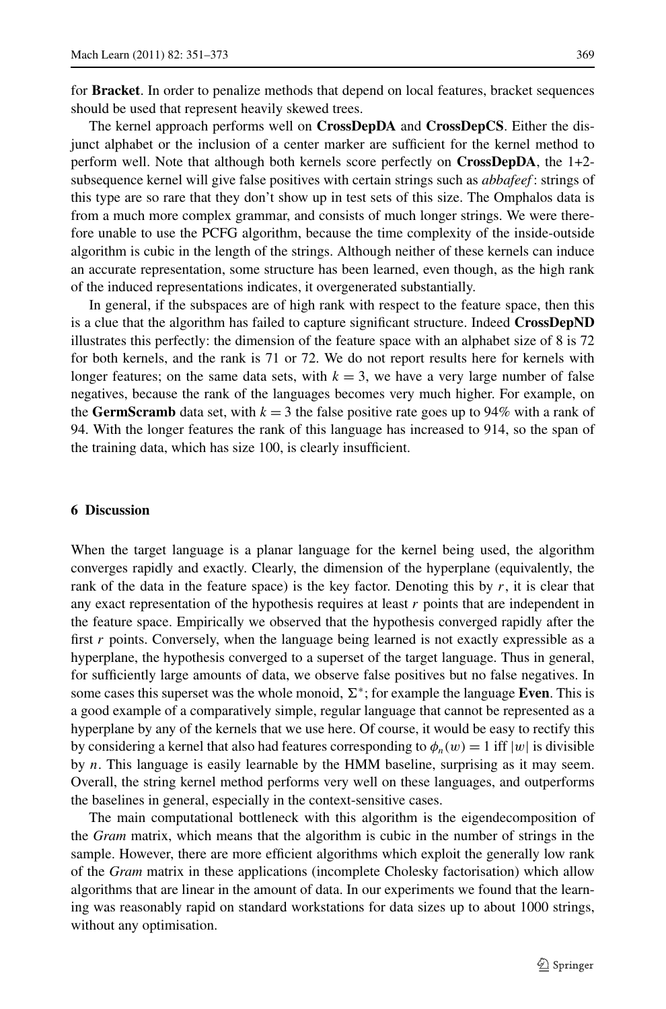for **Bracket**. In order to penalize methods that depend on local features, bracket sequences should be used that represent heavily skewed trees.

The kernel approach performs well on **CrossDepDA** and **CrossDepCS**. Either the disjunct alphabet or the inclusion of a center marker are sufficient for the kernel method to perform well. Note that although both kernels score perfectly on **CrossDepDA**, the 1+2 subsequence kernel will give false positives with certain strings such as *abbafeef* : strings of this type are so rare that they don't show up in test sets of this size. The Omphalos data is from a much more complex grammar, and consists of much longer strings. We were therefore unable to use the PCFG algorithm, because the time complexity of the inside-outside algorithm is cubic in the length of the strings. Although neither of these kernels can induce an accurate representation, some structure has been learned, even though, as the high rank of the induced representations indicates, it overgenerated substantially.

In general, if the subspaces are of high rank with respect to the feature space, then this is a clue that the algorithm has failed to capture significant structure. Indeed **CrossDepND** illustrates this perfectly: the dimension of the feature space with an alphabet size of 8 is 72 for both kernels, and the rank is 71 or 72. We do not report results here for kernels with longer features; on the same data sets, with  $k = 3$ , we have a very large number of false negatives, because the rank of the languages becomes very much higher. For example, on the **GermScramb** data set, with  $k = 3$  the false positive rate goes up to 94% with a rank of 94. With the longer features the rank of this language has increased to 914, so the span of the training data, which has size 100, is clearly insufficient.

### **6 Discussion**

When the target language is a planar language for the kernel being used, the algorithm converges rapidly and exactly. Clearly, the dimension of the hyperplane (equivalently, the rank of the data in the feature space) is the key factor. Denoting this by *r*, it is clear that any exact representation of the hypothesis requires at least *r* points that are independent in the feature space. Empirically we observed that the hypothesis converged rapidly after the first *r* points. Conversely, when the language being learned is not exactly expressible as a hyperplane, the hypothesis converged to a superset of the target language. Thus in general, for sufficiently large amounts of data, we observe false positives but no false negatives. In some cases this superset was the whole monoid,  $\Sigma^*$ ; for example the language **Even**. This is a good example of a comparatively simple, regular language that cannot be represented as a hyperplane by any of the kernels that we use here. Of course, it would be easy to rectify this by considering a kernel that also had features corresponding to  $\phi_n(w) = 1$  iff  $|w|$  is divisible by *n*. This language is easily learnable by the HMM baseline, surprising as it may seem. Overall, the string kernel method performs very well on these languages, and outperforms the baselines in general, especially in the context-sensitive cases.

The main computational bottleneck with this algorithm is the eigendecomposition of the *Gram* matrix, which means that the algorithm is cubic in the number of strings in the sample. However, there are more efficient algorithms which exploit the generally low rank of the *Gram* matrix in these applications (incomplete Cholesky factorisation) which allow algorithms that are linear in the amount of data. In our experiments we found that the learning was reasonably rapid on standard workstations for data sizes up to about 1000 strings, without any optimisation.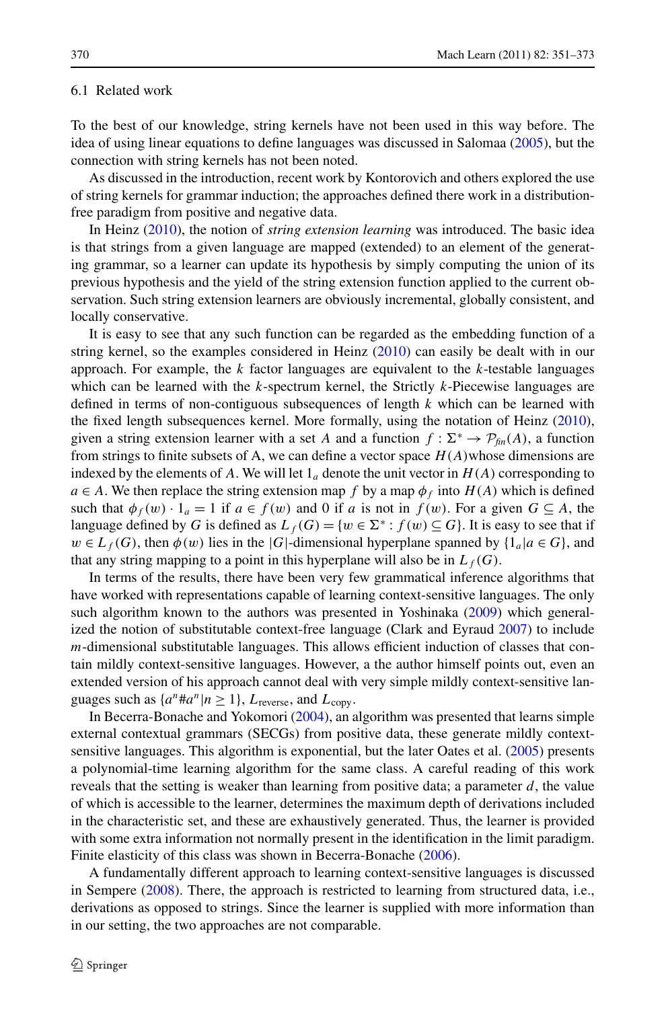#### 6.1 Related work

To the best of our knowledge, string kernels have not been used in this way before. The idea of using linear equations to define languages was discussed in Salomaa ([2005\)](#page-22-3), but the connection with string kernels has not been noted.

As discussed in the introduction, recent work by Kontorovich and others explored the use of string kernels for grammar induction; the approaches defined there work in a distributionfree paradigm from positive and negative data.

In Heinz ([2010\)](#page-21-24), the notion of *string extension learning* was introduced. The basic idea is that strings from a given language are mapped (extended) to an element of the generating grammar, so a learner can update its hypothesis by simply computing the union of its previous hypothesis and the yield of the string extension function applied to the current observation. Such string extension learners are obviously incremental, globally consistent, and locally conservative.

It is easy to see that any such function can be regarded as the embedding function of a string kernel, so the examples considered in Heinz [\(2010](#page-21-24)) can easily be dealt with in our approach. For example, the *k* factor languages are equivalent to the *k*-testable languages which can be learned with the *k*-spectrum kernel, the Strictly *k*-Piecewise languages are defined in terms of non-contiguous subsequences of length *k* which can be learned with the fixed length subsequences kernel. More formally, using the notation of Heinz [\(2010](#page-21-24)), given a string extension learner with a set *A* and a function  $f: \Sigma^* \to \mathcal{P}_{\text{fin}}(A)$ , a function from strings to finite subsets of A, we can define a vector space *H(A)*whose dimensions are indexed by the elements of  $A$ . We will let  $1_a$  denote the unit vector in  $H(A)$  corresponding to  $a \in A$ . We then replace the string extension map *f* by a map  $\phi_f$  into  $H(A)$  which is defined such that  $\phi_f(w) \cdot 1_a = 1$  if  $a \in f(w)$  and 0 if *a* is not in  $f(w)$ . For a given  $G \subseteq A$ , the language defined by *G* is defined as  $L_f(G) = \{w \in \Sigma^* : f(w) \subseteq G\}$ . It is easy to see that if  $w \in L_f(G)$ , then  $\phi(w)$  lies in the |*G*|-dimensional hyperplane spanned by  $\{1_a | a \in G\}$ , and that any string mapping to a point in this hyperplane will also be in  $L_f(G)$ .

In terms of the results, there have been very few grammatical inference algorithms that have worked with representations capable of learning context-sensitive languages. The only such algorithm known to the authors was presented in Yoshinaka [\(2009](#page-22-13)) which generalized the notion of substitutable context-free language (Clark and Eyraud [2007](#page-21-4)) to include *m*-dimensional substitutable languages. This allows efficient induction of classes that contain mildly context-sensitive languages. However, a the author himself points out, even an extended version of his approach cannot deal with very simple mildly context-sensitive languages such as  $\{a^n \# a^n | n \geq 1\}$ ,  $L_{\text{reverse}}$ , and  $L_{\text{copy}}$ .

In Becerra-Bonache and Yokomori [\(2004](#page-20-2)), an algorithm was presented that learns simple external contextual grammars (SECGs) from positive data, these generate mildly contextsensitive languages. This algorithm is exponential, but the later Oates et al. ([2005\)](#page-21-25) presents a polynomial-time learning algorithm for the same class. A careful reading of this work reveals that the setting is weaker than learning from positive data; a parameter *d*, the value of which is accessible to the learner, determines the maximum depth of derivations included in the characteristic set, and these are exhaustively generated. Thus, the learner is provided with some extra information not normally present in the identification in the limit paradigm. Finite elasticity of this class was shown in Becerra-Bonache ([2006\)](#page-20-3).

A fundamentally different approach to learning context-sensitive languages is discussed in Sempere [\(2008](#page-22-14)). There, the approach is restricted to learning from structured data, i.e., derivations as opposed to strings. Since the learner is supplied with more information than in our setting, the two approaches are not comparable.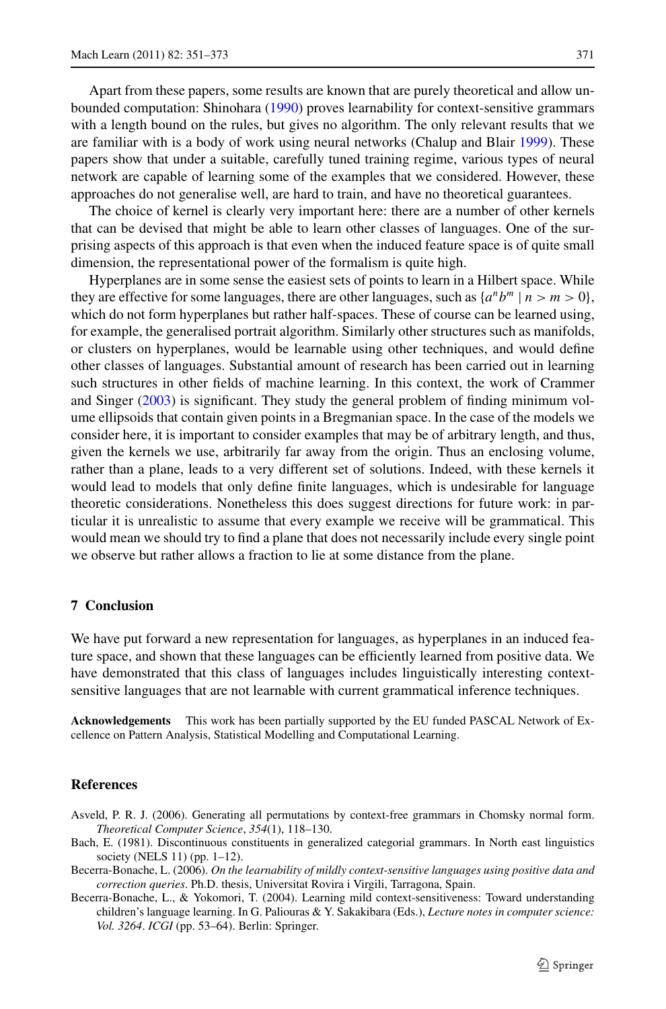Apart from these papers, some results are known that are purely theoretical and allow unbounded computation: Shinohara [\(1990\)](#page-22-15) proves learnability for context-sensitive grammars with a length bound on the rules, but gives no algorithm. The only relevant results that we are familiar with is a body of work using neural networks (Chalup and Blair [1999\)](#page-21-26). These papers show that under a suitable, carefully tuned training regime, various types of neural network are capable of learning some of the examples that we considered. However, these approaches do not generalise well, are hard to train, and have no theoretical guarantees.

The choice of kernel is clearly very important here: there are a number of other kernels that can be devised that might be able to learn other classes of languages. One of the surprising aspects of this approach is that even when the induced feature space is of quite small dimension, the representational power of the formalism is quite high.

Hyperplanes are in some sense the easiest sets of points to learn in a Hilbert space. While they are effective for some languages, there are other languages, such as  $\{a^n b^m \mid n > m > 0\}$ , which do not form hyperplanes but rather half-spaces. These of course can be learned using, for example, the generalised portrait algorithm. Similarly other structures such as manifolds, or clusters on hyperplanes, would be learnable using other techniques, and would define other classes of languages. Substantial amount of research has been carried out in learning such structures in other fields of machine learning. In this context, the work of Crammer and Singer ([2003\)](#page-21-27) is significant. They study the general problem of finding minimum volume ellipsoids that contain given points in a Bregmanian space. In the case of the models we consider here, it is important to consider examples that may be of arbitrary length, and thus, given the kernels we use, arbitrarily far away from the origin. Thus an enclosing volume, rather than a plane, leads to a very different set of solutions. Indeed, with these kernels it would lead to models that only define finite languages, which is undesirable for language theoretic considerations. Nonetheless this does suggest directions for future work: in particular it is unrealistic to assume that every example we receive will be grammatical. This would mean we should try to find a plane that does not necessarily include every single point we observe but rather allows a fraction to lie at some distance from the plane.

#### **7 Conclusion**

<span id="page-20-0"></span>We have put forward a new representation for languages, as hyperplanes in an induced feature space, and shown that these languages can be efficiently learned from positive data. We have demonstrated that this class of languages includes linguistically interesting contextsensitive languages that are not learnable with current grammatical inference techniques.

<span id="page-20-3"></span><span id="page-20-1"></span>**Acknowledgements** This work has been partially supported by the EU funded PASCAL Network of Excellence on Pattern Analysis, Statistical Modelling and Computational Learning.

### <span id="page-20-2"></span>**References**

- Asveld, P. R. J. (2006). Generating all permutations by context-free grammars in Chomsky normal form. *Theoretical Computer Science*, *354*(1), 118–130.
- Bach, E. (1981). Discontinuous constituents in generalized categorial grammars. In North east linguistics society (NELS 11) (pp. 1–12).
- Becerra-Bonache, L. (2006). *On the learnability of mildly context-sensitive languages using positive data and correction queries*. Ph.D. thesis, Universitat Rovira i Virgili, Tarragona, Spain.
- Becerra-Bonache, L., & Yokomori, T. (2004). Learning mild context-sensitiveness: Toward understanding children's language learning. In G. Paliouras & Y. Sakakibara (Eds.), *Lecture notes in computer science: Vol. 3264*. *ICGI* (pp. 53–64). Berlin: Springer.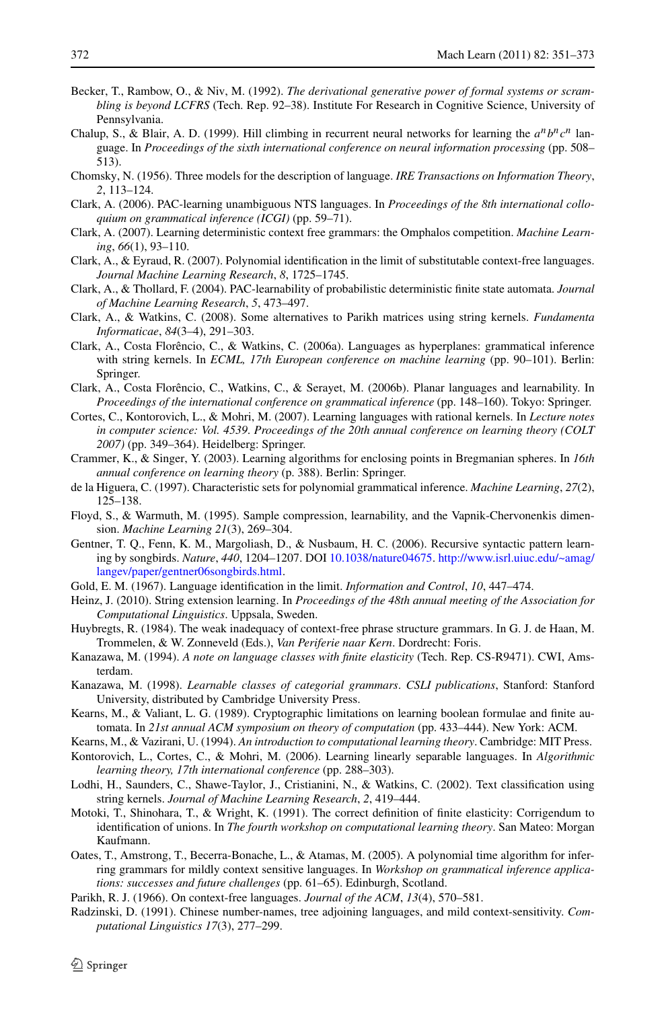- <span id="page-21-26"></span><span id="page-21-22"></span><span id="page-21-3"></span><span id="page-21-2"></span><span id="page-21-0"></span>Becker, T., Rambow, O., & Niv, M. (1992). *The derivational generative power of formal systems or scrambling is beyond LCFRS* (Tech. Rep. 92–38). Institute For Research in Cognitive Science, University of Pennsylvania.
- <span id="page-21-4"></span><span id="page-21-1"></span>Chalup, S., & Blair, A. D. (1999). Hill climbing in recurrent neural networks for learning the  $a^n b^n c^n$  language. In *Proceedings of the sixth international conference on neural information processing* (pp. 508– 513).
- <span id="page-21-13"></span>Chomsky, N. (1956). Three models for the description of language. *IRE Transactions on Information Theory*, *2*, 113–124.
- <span id="page-21-23"></span>Clark, A. (2006). PAC-learning unambiguous NTS languages. In *Proceedings of the 8th international colloquium on grammatical inference (ICGI)* (pp. 59–71).
- <span id="page-21-12"></span>Clark, A. (2007). Learning deterministic context free grammars: the Omphalos competition. *Machine Learning*, *66*(1), 93–110.
- Clark, A., & Eyraud, R. (2007). Polynomial identification in the limit of substitutable context-free languages. *Journal Machine Learning Research*, *8*, 1725–1745.
- <span id="page-21-11"></span>Clark, A., & Thollard, F. (2004). PAC-learnability of probabilistic deterministic finite state automata. *Journal of Machine Learning Research*, *5*, 473–497.
- <span id="page-21-27"></span>Clark, A., & Watkins, C. (2008). Some alternatives to Parikh matrices using string kernels. *Fundamenta Informaticae*, *84*(3–4), 291–303.
- <span id="page-21-15"></span>Clark, A., Costa Florêncio, C., & Watkins, C. (2006a). Languages as hyperplanes: grammatical inference with string kernels. In *ECML, 17th European conference on machine learning* (pp. 90-101). Berlin: Springer.
- <span id="page-21-17"></span>Clark, A., Costa Florêncio, C., Watkins, C., & Serayet, M. (2006b). Planar languages and learnability. In *Proceedings of the international conference on grammatical inference* (pp. 148–160). Tokyo: Springer.
- <span id="page-21-5"></span>Cortes, C., Kontorovich, L., & Mohri, M. (2007). Learning languages with rational kernels. In *Lecture notes in computer science: Vol. 4539*. *Proceedings of the 20th annual conference on learning theory (COLT 2007)* (pp. 349–364). Heidelberg: Springer.
- <span id="page-21-24"></span><span id="page-21-14"></span>Crammer, K., & Singer, Y. (2003). Learning algorithms for enclosing points in Bregmanian spheres. In *16th annual conference on learning theory* (p. 388). Berlin: Springer.
- <span id="page-21-6"></span>de la Higuera, C. (1997). Characteristic sets for polynomial grammatical inference. *Machine Learning*, *27*(2), 125–138.
- <span id="page-21-19"></span>Floyd, S., & Warmuth, M. (1995). Sample compression, learnability, and the Vapnik-Chervonenkis dimension. *Machine Learning 21*(3), 269–304.
- <span id="page-21-20"></span>Gentner, T. Q., Fenn, K. M., Margoliash, D., & Nusbaum, H. C. (2006). Recursive syntactic pattern learning by songbirds. *Nature*, *440*, 1204–1207. DOI [10.1038/nature04675](http://dx.doi.org/10.1038/nature04675). [http://www.isrl.uiuc.edu/~amag/](http://www.isrl.uiuc.edu/~amag/langev/paper/gentner06songbirds.html) [langev/paper/gentner06songbirds.html](http://www.isrl.uiuc.edu/~amag/langev/paper/gentner06songbirds.html).
- <span id="page-21-7"></span>Gold, E. M. (1967). Language identification in the limit. *Information and Control*, *10*, 447–474.
- <span id="page-21-16"></span>Heinz, J. (2010). String extension learning. In *Proceedings of the 48th annual meeting of the Association for Computational Linguistics*. Uppsala, Sweden.
- <span id="page-21-10"></span>Huybregts, R. (1984). The weak inadequacy of context-free phrase structure grammars. In G. J. de Haan, M. Trommelen, & W. Zonneveld (Eds.), *Van Periferie naar Kern*. Dordrecht: Foris.
- <span id="page-21-9"></span>Kanazawa, M. (1994). *A note on language classes with finite elasticity* (Tech. Rep. CS-R9471). CWI, Amsterdam.
- <span id="page-21-18"></span>Kanazawa, M. (1998). *Learnable classes of categorial grammars*. *CSLI publications*, Stanford: Stanford University, distributed by Cambridge University Press.
- <span id="page-21-25"></span>Kearns, M., & Valiant, L. G. (1989). Cryptographic limitations on learning boolean formulae and finite automata. In *21st annual ACM symposium on theory of computation* (pp. 433–444). New York: ACM.
- Kearns, M., & Vazirani, U. (1994). *An introduction to computational learning theory*. Cambridge: MIT Press.
- <span id="page-21-8"></span>Kontorovich, L., Cortes, C., & Mohri, M. (2006). Learning linearly separable languages. In *Algorithmic learning theory, 17th international conference* (pp. 288–303).
- <span id="page-21-21"></span>Lodhi, H., Saunders, C., Shawe-Taylor, J., Cristianini, N., & Watkins, C. (2002). Text classification using string kernels. *Journal of Machine Learning Research*, *2*, 419–444.
- Motoki, T., Shinohara, T., & Wright, K. (1991). The correct definition of finite elasticity: Corrigendum to identification of unions. In *The fourth workshop on computational learning theory*. San Mateo: Morgan Kaufmann.
- Oates, T., Amstrong, T., Becerra-Bonache, L., & Atamas, M. (2005). A polynomial time algorithm for inferring grammars for mildly context sensitive languages. In *Workshop on grammatical inference applications: successes and future challenges* (pp. 61–65). Edinburgh, Scotland.
- Parikh, R. J. (1966). On context-free languages. *Journal of the ACM*, *13*(4), 570–581.
- Radzinski, D. (1991). Chinese number-names, tree adjoining languages, and mild context-sensitivity. *Computational Linguistics 17*(3), 277–299.